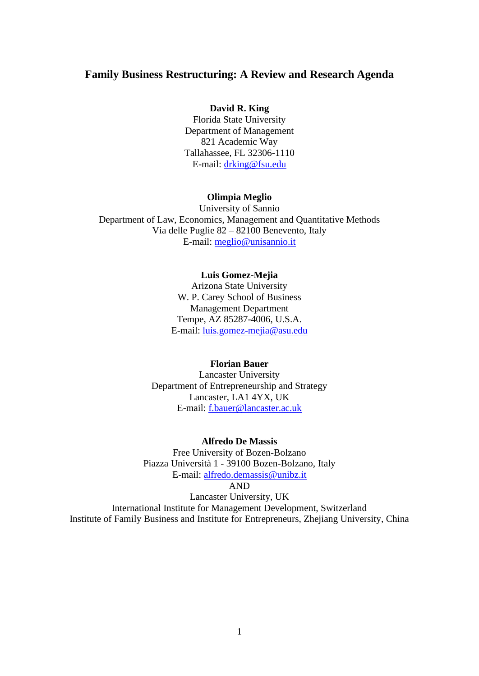## **Family Business Restructuring: A Review and Research Agenda**

### **David R. King**

Florida State University Department of Management 821 Academic Way Tallahassee, FL 32306-1110 E-mail: [drking@fsu.edu](mailto:drking@fsu.edu)

#### **Olimpia Meglio**

University of Sannio Department of Law, Economics, Management and Quantitative Methods Via delle Puglie 82 – 82100 Benevento, Italy E-mail: [meglio@unisannio.it](mailto:meglio@unisannio.it)

#### **Luis Gomez-Mejia**

Arizona State University W. P. Carey School of Business Management Department Tempe, AZ 85287-4006, U.S.A. E-mail: [luis.gomez-mejia@asu.edu](mailto:luis.gomez-mejia@asu.edu)

### **Florian Bauer**

Lancaster University Department of Entrepreneurship and Strategy Lancaster, LA1 4YX, UK E-mail: [f.bauer@lancaster.ac.uk](mailto:f.bauer@lancaster.ac.uk)

#### **Alfredo De Massis**

Free University of Bozen-Bolzano Piazza Università 1 - 39100 Bozen-Bolzano, Italy E-mail: [alfredo.demassis@unibz.it](mailto:alfredo.demassis@unibz.it)

AND

Lancaster University, UK International Institute for Management Development, Switzerland Institute of Family Business and Institute for Entrepreneurs, Zhejiang University, China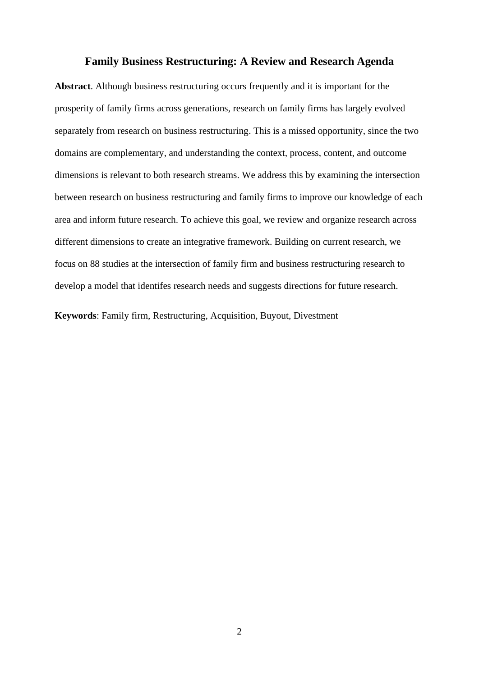## **Family Business Restructuring: A Review and Research Agenda**

**Abstract**. Although business restructuring occurs frequently and it is important for the prosperity of family firms across generations, research on family firms has largely evolved separately from research on business restructuring. This is a missed opportunity, since the two domains are complementary, and understanding the context, process, content, and outcome dimensions is relevant to both research streams. We address this by examining the intersection between research on business restructuring and family firms to improve our knowledge of each area and inform future research. To achieve this goal, we review and organize research across different dimensions to create an integrative framework. Building on current research, we focus on 88 studies at the intersection of family firm and business restructuring research to develop a model that identifes research needs and suggests directions for future research.

**Keywords**: Family firm, Restructuring, Acquisition, Buyout, Divestment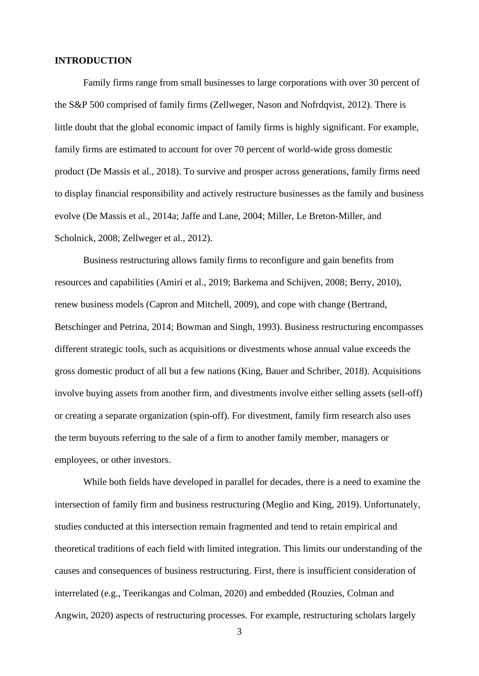### **INTRODUCTION**

Family firms range from small businesses to large corporations with over 30 percent of the S&P 500 comprised of family firms (Zellweger, Nason and Nofrdqvist, 2012). There is little doubt that the global economic impact of family firms is highly significant. For example, family firms are estimated to account for over 70 percent of world-wide gross domestic product (De Massis et al., 2018). To survive and prosper across generations, family firms need to display financial responsibility and actively restructure businesses as the family and business evolve (De Massis et al., 2014a; Jaffe and Lane, 2004; Miller, Le Breton-Miller, and Scholnick, 2008; Zellweger et al., 2012).

Business restructuring allows family firms to reconfigure and gain benefits from resources and capabilities (Amiri et al., 2019; Barkema and Schijven, 2008; Berry, 2010), renew business models (Capron and Mitchell, 2009), and cope with change (Bertrand, Betschinger and Petrina, 2014; Bowman and Singh, 1993). Business restructuring encompasses different strategic tools, such as acquisitions or divestments whose annual value exceeds the gross domestic product of all but a few nations (King, Bauer and Schriber, 2018). Acquisitions involve buying assets from another firm, and divestments involve either selling assets (sell-off) or creating a separate organization (spin-off). For divestment, family firm research also uses the term buyouts referring to the sale of a firm to another family member, managers or employees, or other investors.

While both fields have developed in parallel for decades, there is a need to examine the intersection of family firm and business restructuring (Meglio and King, 2019). Unfortunately, studies conducted at this intersection remain fragmented and tend to retain empirical and theoretical traditions of each field with limited integration. This limits our understanding of the causes and consequences of business restructuring. First, there is insufficient consideration of interrelated (e.g., Teerikangas and Colman, 2020) and embedded (Rouzies, Colman and Angwin, 2020) aspects of restructuring processes. For example, restructuring scholars largely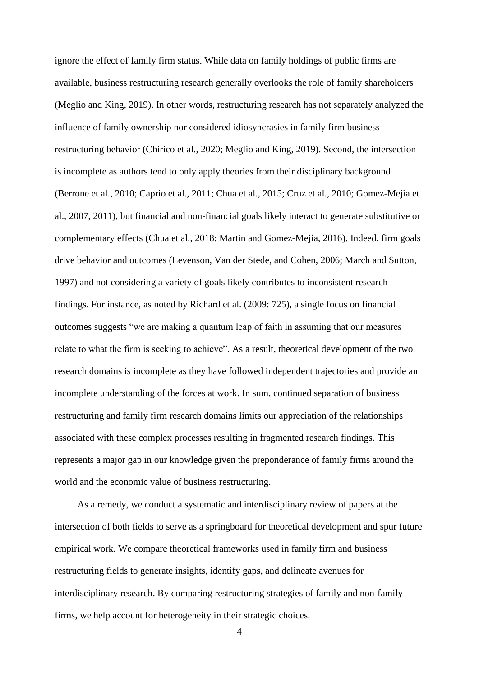ignore the effect of family firm status. While data on family holdings of public firms are available, business restructuring research generally overlooks the role of family shareholders (Meglio and King, 2019). In other words, restructuring research has not separately analyzed the influence of family ownership nor considered idiosyncrasies in family firm business restructuring behavior (Chirico et al., 2020; Meglio and King, 2019). Second, the intersection is incomplete as authors tend to only apply theories from their disciplinary background (Berrone et al., 2010; Caprio et al., 2011; Chua et al., 2015; Cruz et al., 2010; Gomez-Mejia et al., 2007, 2011), but financial and non-financial goals likely interact to generate substitutive or complementary effects (Chua et al., 2018; Martin and Gomez-Mejia, 2016). Indeed, firm goals drive behavior and outcomes (Levenson, Van der Stede, and Cohen, 2006; March and Sutton, 1997) and not considering a variety of goals likely contributes to inconsistent research findings. For instance, as noted by Richard et al. (2009: 725), a single focus on financial outcomes suggests "we are making a quantum leap of faith in assuming that our measures relate to what the firm is seeking to achieve". As a result, theoretical development of the two research domains is incomplete as they have followed independent trajectories and provide an incomplete understanding of the forces at work. In sum, continued separation of business restructuring and family firm research domains limits our appreciation of the relationships associated with these complex processes resulting in fragmented research findings. This represents a major gap in our knowledge given the preponderance of family firms around the world and the economic value of business restructuring.

As a remedy, we conduct a systematic and interdisciplinary review of papers at the intersection of both fields to serve as a springboard for theoretical development and spur future empirical work. We compare theoretical frameworks used in family firm and business restructuring fields to generate insights, identify gaps, and delineate avenues for interdisciplinary research. By comparing restructuring strategies of family and non-family firms, we help account for heterogeneity in their strategic choices.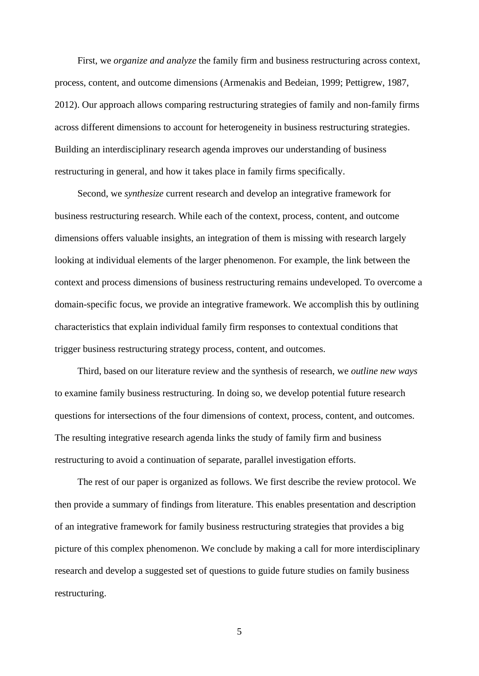First, we *organize and analyze* the family firm and business restructuring across context, process, content, and outcome dimensions (Armenakis and Bedeian, 1999; Pettigrew, 1987, 2012). Our approach allows comparing restructuring strategies of family and non-family firms across different dimensions to account for heterogeneity in business restructuring strategies. Building an interdisciplinary research agenda improves our understanding of business restructuring in general, and how it takes place in family firms specifically.

Second, we *synthesize* current research and develop an integrative framework for business restructuring research. While each of the context, process, content, and outcome dimensions offers valuable insights, an integration of them is missing with research largely looking at individual elements of the larger phenomenon. For example, the link between the context and process dimensions of business restructuring remains undeveloped. To overcome a domain-specific focus, we provide an integrative framework. We accomplish this by outlining characteristics that explain individual family firm responses to contextual conditions that trigger business restructuring strategy process, content, and outcomes.

Third, based on our literature review and the synthesis of research, we *outline new ways* to examine family business restructuring. In doing so, we develop potential future research questions for intersections of the four dimensions of context, process, content, and outcomes. The resulting integrative research agenda links the study of family firm and business restructuring to avoid a continuation of separate, parallel investigation efforts.

The rest of our paper is organized as follows. We first describe the review protocol. We then provide a summary of findings from literature. This enables presentation and description of an integrative framework for family business restructuring strategies that provides a big picture of this complex phenomenon. We conclude by making a call for more interdisciplinary research and develop a suggested set of questions to guide future studies on family business restructuring.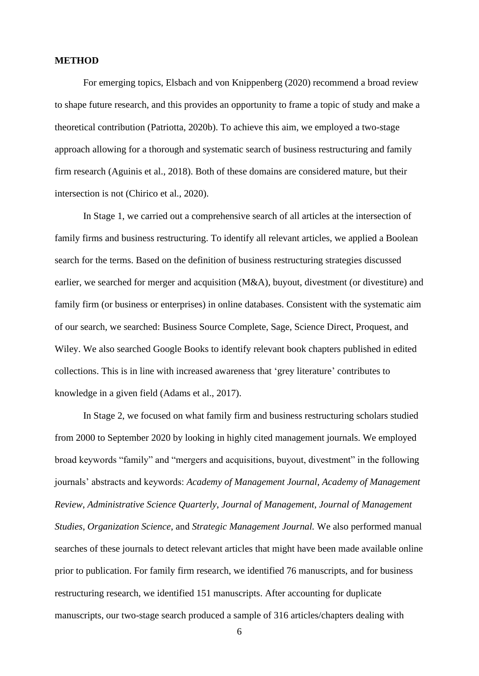#### **METHOD**

For emerging topics, Elsbach and von Knippenberg (2020) recommend a broad review to shape future research, and this provides an opportunity to frame a topic of study and make a theoretical contribution (Patriotta, 2020b). To achieve this aim, we employed a two-stage approach allowing for a thorough and systematic search of business restructuring and family firm research (Aguinis et al., 2018). Both of these domains are considered mature, but their intersection is not (Chirico et al., 2020).

In Stage 1, we carried out a comprehensive search of all articles at the intersection of family firms and business restructuring. To identify all relevant articles, we applied a Boolean search for the terms. Based on the definition of business restructuring strategies discussed earlier, we searched for merger and acquisition (M&A), buyout, divestment (or divestiture) and family firm (or business or enterprises) in online databases. Consistent with the systematic aim of our search, we searched: Business Source Complete, Sage, Science Direct, Proquest, and Wiley. We also searched Google Books to identify relevant book chapters published in edited collections. This is in line with increased awareness that 'grey literature' contributes to knowledge in a given field (Adams et al., 2017).

In Stage 2, we focused on what family firm and business restructuring scholars studied from 2000 to September 2020 by looking in highly cited management journals. We employed broad keywords "family" and "mergers and acquisitions, buyout, divestment" in the following journals' abstracts and keywords: *Academy of Management Journal*, *Academy of Management Review*, *Administrative Science Quarterly*, *Journal of Management*, *Journal of Management Studies*, *Organization Science*, and *Strategic Management Journal.* We also performed manual searches of these journals to detect relevant articles that might have been made available online prior to publication. For family firm research, we identified 76 manuscripts, and for business restructuring research, we identified 151 manuscripts. After accounting for duplicate manuscripts, our two-stage search produced a sample of 316 articles/chapters dealing with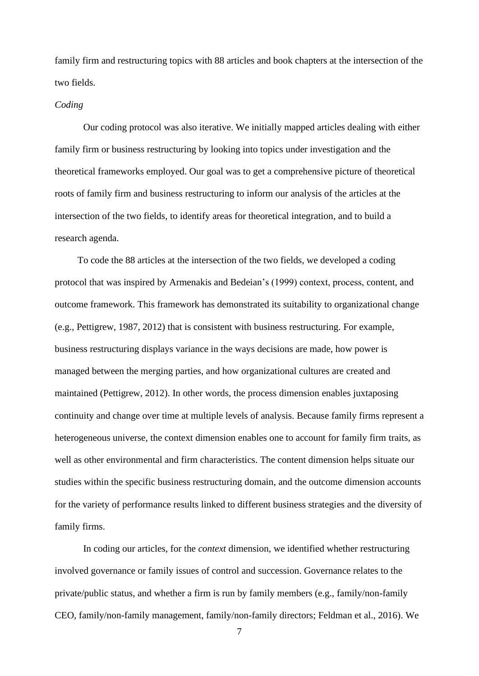family firm and restructuring topics with 88 articles and book chapters at the intersection of the two fields.

#### *Coding*

Our coding protocol was also iterative. We initially mapped articles dealing with either family firm or business restructuring by looking into topics under investigation and the theoretical frameworks employed. Our goal was to get a comprehensive picture of theoretical roots of family firm and business restructuring to inform our analysis of the articles at the intersection of the two fields, to identify areas for theoretical integration, and to build a research agenda.

To code the 88 articles at the intersection of the two fields, we developed a coding protocol that was inspired by Armenakis and Bedeian's (1999) context, process, content, and outcome framework. This framework has demonstrated its suitability to organizational change (e.g., Pettigrew, 1987, 2012) that is consistent with business restructuring. For example, business restructuring displays variance in the ways decisions are made, how power is managed between the merging parties, and how organizational cultures are created and maintained (Pettigrew, 2012). In other words, the process dimension enables juxtaposing continuity and change over time at multiple levels of analysis. Because family firms represent a heterogeneous universe, the context dimension enables one to account for family firm traits, as well as other environmental and firm characteristics. The content dimension helps situate our studies within the specific business restructuring domain, and the outcome dimension accounts for the variety of performance results linked to different business strategies and the diversity of family firms.

In coding our articles, for the *context* dimension, we identified whether restructuring involved governance or family issues of control and succession. Governance relates to the private/public status, and whether a firm is run by family members (e.g., family/non-family CEO, family/non-family management, family/non-family directors; Feldman et al., 2016). We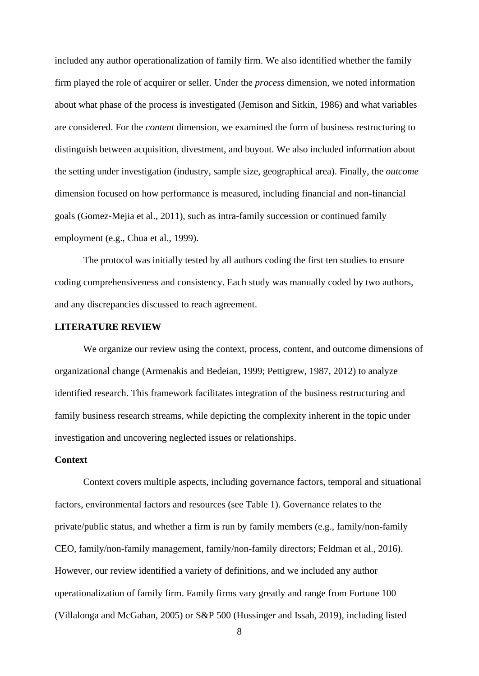included any author operationalization of family firm. We also identified whether the family firm played the role of acquirer or seller. Under the *process* dimension, we noted information about what phase of the process is investigated (Jemison and Sitkin, 1986) and what variables are considered. For the *content* dimension, we examined the form of business restructuring to distinguish between acquisition, divestment, and buyout. We also included information about the setting under investigation (industry, sample size, geographical area). Finally, the *outcome* dimension focused on how performance is measured, including financial and non-financial goals (Gomez-Mejia et al., 2011), such as intra-family succession or continued family employment (e.g., Chua et al., 1999).

The protocol was initially tested by all authors coding the first ten studies to ensure coding comprehensiveness and consistency. Each study was manually coded by two authors, and any discrepancies discussed to reach agreement.

#### **LITERATURE REVIEW**

We organize our review using the context, process, content, and outcome dimensions of organizational change (Armenakis and Bedeian, 1999; Pettigrew, 1987, 2012) to analyze identified research. This framework facilitates integration of the business restructuring and family business research streams, while depicting the complexity inherent in the topic under investigation and uncovering neglected issues or relationships.

### **Context**

Context covers multiple aspects, including governance factors, temporal and situational factors, environmental factors and resources (see Table 1). Governance relates to the private/public status, and whether a firm is run by family members (e.g., family/non-family CEO, family/non-family management, family/non-family directors; Feldman et al., 2016). However, our review identified a variety of definitions, and we included any author operationalization of family firm. Family firms vary greatly and range from Fortune 100 (Villalonga and McGahan, 2005) or S&P 500 (Hussinger and Issah, 2019), including listed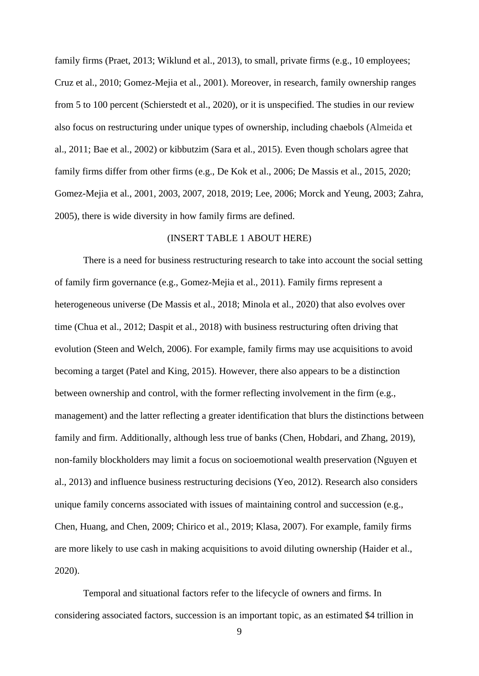family firms (Praet, 2013; Wiklund et al., 2013), to small, private firms (e.g., 10 employees; Cruz et al., 2010; Gomez-Mejia et al., 2001). Moreover, in research, family ownership ranges from 5 to 100 percent (Schierstedt et al., 2020), or it is unspecified. The studies in our review also focus on restructuring under unique types of ownership, including chaebols (Almeida et al., 2011; Bae et al., 2002) or kibbutzim (Sara et al., 2015). Even though scholars agree that family firms differ from other firms (e.g., De Kok et al., 2006; De Massis et al., 2015, 2020; Gomez-Mejia et al., 2001, 2003, 2007, 2018, 2019; Lee, 2006; Morck and Yeung, 2003; Zahra, 2005), there is wide diversity in how family firms are defined.

#### (INSERT TABLE 1 ABOUT HERE)

There is a need for business restructuring research to take into account the social setting of family firm governance (e.g., Gomez-Mejia et al., 2011). Family firms represent a heterogeneous universe (De Massis et al., 2018; Minola et al., 2020) that also evolves over time (Chua et al., 2012; Daspit et al., 2018) with business restructuring often driving that evolution (Steen and Welch, 2006). For example, family firms may use acquisitions to avoid becoming a target (Patel and King, 2015). However, there also appears to be a distinction between ownership and control, with the former reflecting involvement in the firm (e.g., management) and the latter reflecting a greater identification that blurs the distinctions between family and firm. Additionally, although less true of banks (Chen, Hobdari, and Zhang, 2019), non-family blockholders may limit a focus on socioemotional wealth preservation (Nguyen et al., 2013) and influence business restructuring decisions (Yeo, 2012). Research also considers unique family concerns associated with issues of maintaining control and succession (e.g., Chen, Huang, and Chen, 2009; Chirico et al., 2019; Klasa, 2007). For example, family firms are more likely to use cash in making acquisitions to avoid diluting ownership (Haider et al., 2020).

Temporal and situational factors refer to the lifecycle of owners and firms. In considering associated factors, succession is an important topic, as an estimated \$4 trillion in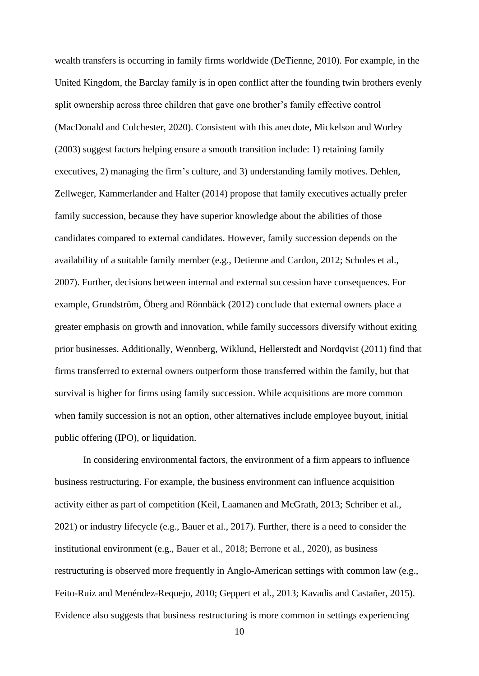wealth transfers is occurring in family firms worldwide (DeTienne, 2010). For example, in the United Kingdom, the Barclay family is in open conflict after the founding twin brothers evenly split ownership across three children that gave one brother's family effective control (MacDonald and Colchester, 2020). Consistent with this anecdote, Mickelson and Worley (2003) suggest factors helping ensure a smooth transition include: 1) retaining family executives, 2) managing the firm's culture, and 3) understanding family motives. Dehlen, Zellweger, Kammerlander and Halter (2014) propose that family executives actually prefer family succession, because they have superior knowledge about the abilities of those candidates compared to external candidates. However, family succession depends on the availability of a suitable family member (e.g., Detienne and Cardon, 2012; Scholes et al., 2007). Further, decisions between internal and external succession have consequences. For example, Grundström, Öberg and Rönnbäck (2012) conclude that external owners place a greater emphasis on growth and innovation, while family successors diversify without exiting prior businesses. Additionally, Wennberg, Wiklund, Hellerstedt and Nordqvist (2011) find that firms transferred to external owners outperform those transferred within the family, but that survival is higher for firms using family succession. While acquisitions are more common when family succession is not an option, other alternatives include employee buyout, initial public offering (IPO), or liquidation.

In considering environmental factors, the environment of a firm appears to influence business restructuring. For example, the business environment can influence acquisition activity either as part of competition (Keil, Laamanen and McGrath, 2013; Schriber et al., 2021) or industry lifecycle (e.g., Bauer et al., 2017). Further, there is a need to consider the institutional environment (e.g., Bauer et al., 2018; Berrone et al., 2020), as business restructuring is observed more frequently in Anglo-American settings with common law (e.g., Feito-Ruiz and Menéndez-Requejo, 2010; Geppert et al., 2013; Kavadis and Castañer, 2015). Evidence also suggests that business restructuring is more common in settings experiencing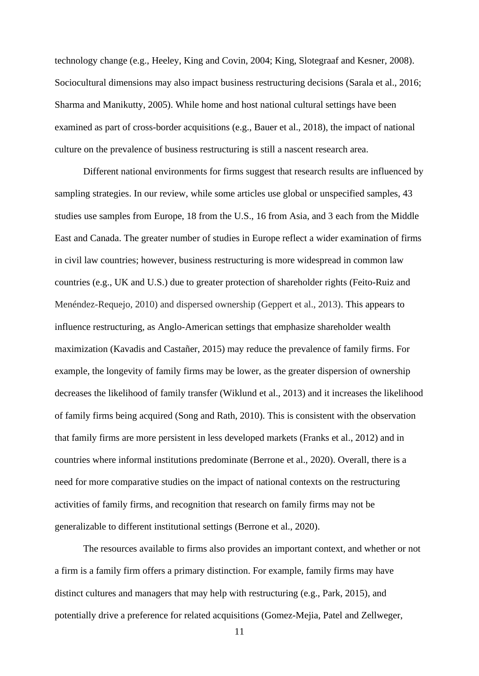technology change (e.g., Heeley, King and Covin, 2004; King, Slotegraaf and Kesner, 2008). Sociocultural dimensions may also impact business restructuring decisions (Sarala et al., 2016; Sharma and Manikutty, 2005). While home and host national cultural settings have been examined as part of cross-border acquisitions (e.g., Bauer et al., 2018), the impact of national culture on the prevalence of business restructuring is still a nascent research area.

Different national environments for firms suggest that research results are influenced by sampling strategies. In our review, while some articles use global or unspecified samples, 43 studies use samples from Europe, 18 from the U.S., 16 from Asia, and 3 each from the Middle East and Canada. The greater number of studies in Europe reflect a wider examination of firms in civil law countries; however, business restructuring is more widespread in common law countries (e.g., UK and U.S.) due to greater protection of shareholder rights (Feito-Ruiz and Menéndez-Requejo, 2010) and dispersed ownership (Geppert et al., 2013). This appears to influence restructuring, as Anglo-American settings that emphasize shareholder wealth maximization (Kavadis and Castañer, 2015) may reduce the prevalence of family firms. For example, the longevity of family firms may be lower, as the greater dispersion of ownership decreases the likelihood of family transfer (Wiklund et al., 2013) and it increases the likelihood of family firms being acquired (Song and Rath, 2010). This is consistent with the observation that family firms are more persistent in less developed markets (Franks et al., 2012) and in countries where informal institutions predominate (Berrone et al., 2020). Overall, there is a need for more comparative studies on the impact of national contexts on the restructuring activities of family firms, and recognition that research on family firms may not be generalizable to different institutional settings (Berrone et al., 2020).

The resources available to firms also provides an important context, and whether or not a firm is a family firm offers a primary distinction. For example, family firms may have distinct cultures and managers that may help with restructuring (e.g., Park, 2015), and potentially drive a preference for related acquisitions (Gomez-Mejia, Patel and Zellweger,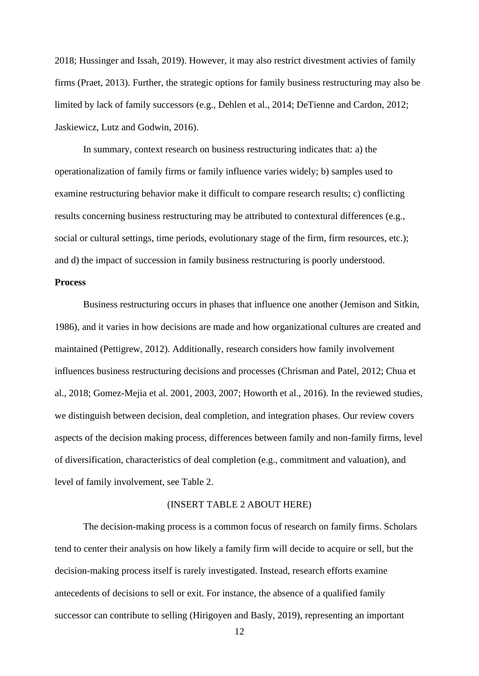2018; Hussinger and Issah, 2019). However, it may also restrict divestment activies of family firms (Praet, 2013). Further, the strategic options for family business restructuring may also be limited by lack of family successors (e.g., Dehlen et al., 2014; DeTienne and Cardon, 2012; Jaskiewicz, Lutz and Godwin, 2016).

In summary, context research on business restructuring indicates that: a) the operationalization of family firms or family influence varies widely; b) samples used to examine restructuring behavior make it difficult to compare research results; c) conflicting results concerning business restructuring may be attributed to contextural differences (e.g., social or cultural settings, time periods, evolutionary stage of the firm, firm resources, etc.); and d) the impact of succession in family business restructuring is poorly understood.

## **Process**

Business restructuring occurs in phases that influence one another (Jemison and Sitkin, 1986), and it varies in how decisions are made and how organizational cultures are created and maintained (Pettigrew, 2012). Additionally, research considers how family involvement influences business restructuring decisions and processes (Chrisman and Patel, 2012; Chua et al., 2018; Gomez-Mejia et al. 2001, 2003, 2007; Howorth et al., 2016). In the reviewed studies, we distinguish between decision, deal completion, and integration phases. Our review covers aspects of the decision making process, differences between family and non-family firms, level of diversification, characteristics of deal completion (e.g., commitment and valuation), and level of family involvement, see Table 2.

#### (INSERT TABLE 2 ABOUT HERE)

The decision-making process is a common focus of research on family firms. Scholars tend to center their analysis on how likely a family firm will decide to acquire or sell, but the decision-making process itself is rarely investigated. Instead, research efforts examine antecedents of decisions to sell or exit. For instance, the absence of a qualified family successor can contribute to selling (Hirigoyen and Basly, 2019), representing an important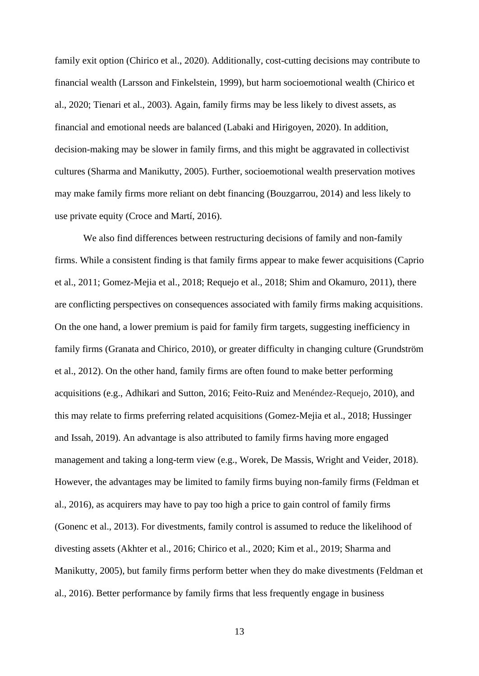family exit option (Chirico et al., 2020). Additionally, cost-cutting decisions may contribute to financial wealth (Larsson and Finkelstein, 1999), but harm socioemotional wealth (Chirico et al., 2020; Tienari et al., 2003). Again, family firms may be less likely to divest assets, as financial and emotional needs are balanced (Labaki and Hirigoyen, 2020). In addition, decision-making may be slower in family firms, and this might be aggravated in collectivist cultures (Sharma and Manikutty, 2005). Further, socioemotional wealth preservation motives may make family firms more reliant on debt financing (Bouzgarrou, 2014) and less likely to use private equity (Croce and Martí, 2016).

We also find differences between restructuring decisions of family and non-family firms. While a consistent finding is that family firms appear to make fewer acquisitions (Caprio et al., 2011; Gomez-Mejia et al., 2018; Requejo et al., 2018; Shim and Okamuro, 2011), there are conflicting perspectives on consequences associated with family firms making acquisitions. On the one hand, a lower premium is paid for family firm targets, suggesting inefficiency in family firms (Granata and Chirico, 2010), or greater difficulty in changing culture (Grundström et al., 2012). On the other hand, family firms are often found to make better performing acquisitions (e.g., Adhikari and Sutton, 2016; Feito-Ruiz and Menéndez-Requejo, 2010), and this may relate to firms preferring related acquisitions (Gomez-Mejia et al., 2018; Hussinger and Issah, 2019). An advantage is also attributed to family firms having more engaged management and taking a long-term view (e.g., Worek, De Massis, Wright and Veider, 2018). However, the advantages may be limited to family firms buying non-family firms (Feldman et al., 2016), as acquirers may have to pay too high a price to gain control of family firms (Gonenc et al., 2013). For divestments, family control is assumed to reduce the likelihood of divesting assets (Akhter et al., 2016; Chirico et al., 2020; Kim et al., 2019; Sharma and Manikutty, 2005), but family firms perform better when they do make divestments (Feldman et al., 2016). Better performance by family firms that less frequently engage in business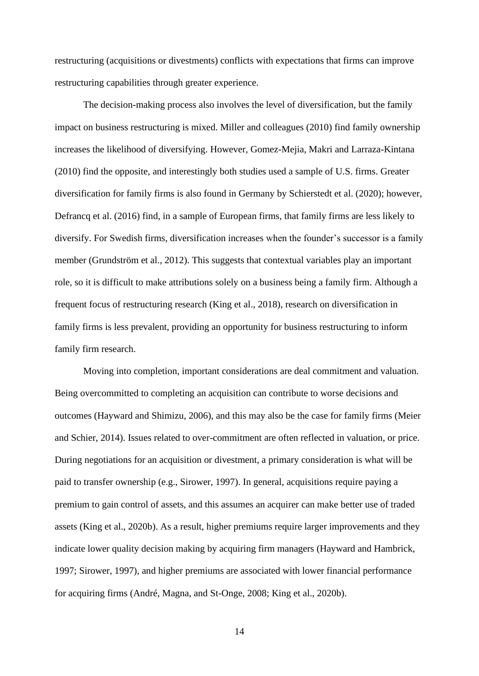restructuring (acquisitions or divestments) conflicts with expectations that firms can improve restructuring capabilities through greater experience.

The decision-making process also involves the level of diversification, but the family impact on business restructuring is mixed. Miller and colleagues (2010) find family ownership increases the likelihood of diversifying. However, Gomez-Mejia, Makri and Larraza-Kintana (2010) find the opposite, and interestingly both studies used a sample of U.S. firms. Greater diversification for family firms is also found in Germany by Schierstedt et al. (2020); however, Defrancq et al. (2016) find, in a sample of European firms, that family firms are less likely to diversify. For Swedish firms, diversification increases when the founder's successor is a family member (Grundström et al., 2012). This suggests that contextual variables play an important role, so it is difficult to make attributions solely on a business being a family firm. Although a frequent focus of restructuring research (King et al., 2018), research on diversification in family firms is less prevalent, providing an opportunity for business restructuring to inform family firm research.

Moving into completion, important considerations are deal commitment and valuation. Being overcommitted to completing an acquisition can contribute to worse decisions and outcomes (Hayward and Shimizu, 2006), and this may also be the case for family firms (Meier and Schier, 2014). Issues related to over-commitment are often reflected in valuation, or price. During negotiations for an acquisition or divestment, a primary consideration is what will be paid to transfer ownership (e.g., Sirower, 1997). In general, acquisitions require paying a premium to gain control of assets, and this assumes an acquirer can make better use of traded assets (King et al., 2020b). As a result, higher premiums require larger improvements and they indicate lower quality decision making by acquiring firm managers (Hayward and Hambrick, 1997; Sirower, 1997), and higher premiums are associated with lower financial performance for acquiring firms (André, Magna, and St-Onge, 2008; King et al., 2020b).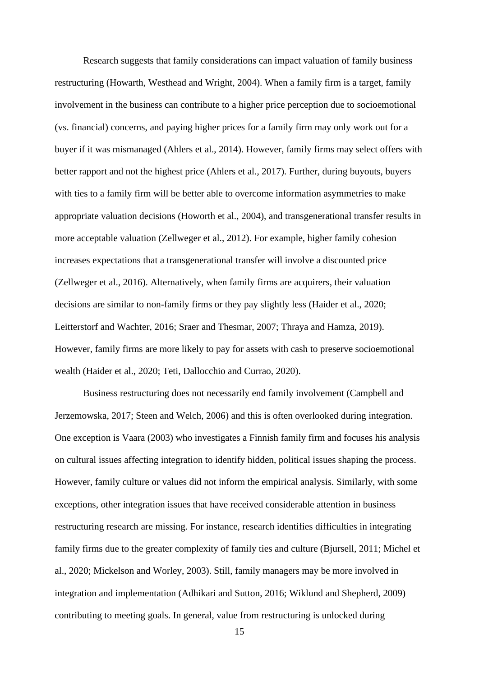Research suggests that family considerations can impact valuation of family business restructuring (Howarth, Westhead and Wright, 2004). When a family firm is a target, family involvement in the business can contribute to a higher price perception due to socioemotional (vs. financial) concerns, and paying higher prices for a family firm may only work out for a buyer if it was mismanaged (Ahlers et al., 2014). However, family firms may select offers with better rapport and not the highest price (Ahlers et al., 2017). Further, during buyouts, buyers with ties to a family firm will be better able to overcome information asymmetries to make appropriate valuation decisions (Howorth et al., 2004), and transgenerational transfer results in more acceptable valuation (Zellweger et al., 2012). For example, higher family cohesion increases expectations that a transgenerational transfer will involve a discounted price (Zellweger et al., 2016). Alternatively, when family firms are acquirers, their valuation decisions are similar to non-family firms or they pay slightly less (Haider et al., 2020; Leitterstorf and Wachter, 2016; Sraer and Thesmar, 2007; Thraya and Hamza, 2019). However, family firms are more likely to pay for assets with cash to preserve socioemotional wealth (Haider et al., 2020; Teti, Dallocchio and Currao, 2020).

Business restructuring does not necessarily end family involvement (Campbell and Jerzemowska, 2017; Steen and Welch, 2006) and this is often overlooked during integration. One exception is Vaara (2003) who investigates a Finnish family firm and focuses his analysis on cultural issues affecting integration to identify hidden, political issues shaping the process. However, family culture or values did not inform the empirical analysis. Similarly, with some exceptions, other integration issues that have received considerable attention in business restructuring research are missing. For instance, research identifies difficulties in integrating family firms due to the greater complexity of family ties and culture (Bjursell, 2011; Michel et al., 2020; Mickelson and Worley, 2003). Still, family managers may be more involved in integration and implementation (Adhikari and Sutton, 2016; Wiklund and Shepherd, 2009) contributing to meeting goals. In general, value from restructuring is unlocked during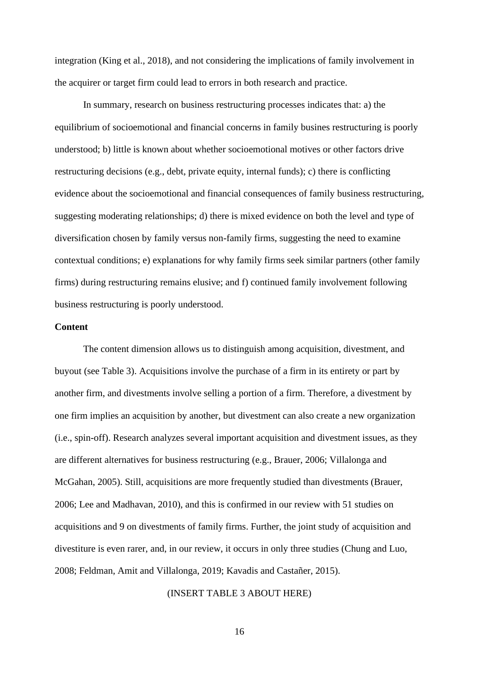integration (King et al., 2018), and not considering the implications of family involvement in the acquirer or target firm could lead to errors in both research and practice.

In summary, research on business restructuring processes indicates that: a) the equilibrium of socioemotional and financial concerns in family busines restructuring is poorly understood; b) little is known about whether socioemotional motives or other factors drive restructuring decisions (e.g., debt, private equity, internal funds); c) there is conflicting evidence about the socioemotional and financial consequences of family business restructuring, suggesting moderating relationships; d) there is mixed evidence on both the level and type of diversification chosen by family versus non-family firms, suggesting the need to examine contextual conditions; e) explanations for why family firms seek similar partners (other family firms) during restructuring remains elusive; and f) continued family involvement following business restructuring is poorly understood.

### **Content**

The content dimension allows us to distinguish among acquisition, divestment, and buyout (see Table 3). Acquisitions involve the purchase of a firm in its entirety or part by another firm, and divestments involve selling a portion of a firm. Therefore, a divestment by one firm implies an acquisition by another, but divestment can also create a new organization (i.e., spin-off). Research analyzes several important acquisition and divestment issues, as they are different alternatives for business restructuring (e.g., Brauer, 2006; Villalonga and McGahan, 2005). Still, acquisitions are more frequently studied than divestments (Brauer, 2006; Lee and Madhavan, 2010), and this is confirmed in our review with 51 studies on acquisitions and 9 on divestments of family firms. Further, the joint study of acquisition and divestiture is even rarer, and, in our review, it occurs in only three studies (Chung and Luo, 2008; Feldman, Amit and Villalonga, 2019; Kavadis and Castañer, 2015).

#### (INSERT TABLE 3 ABOUT HERE)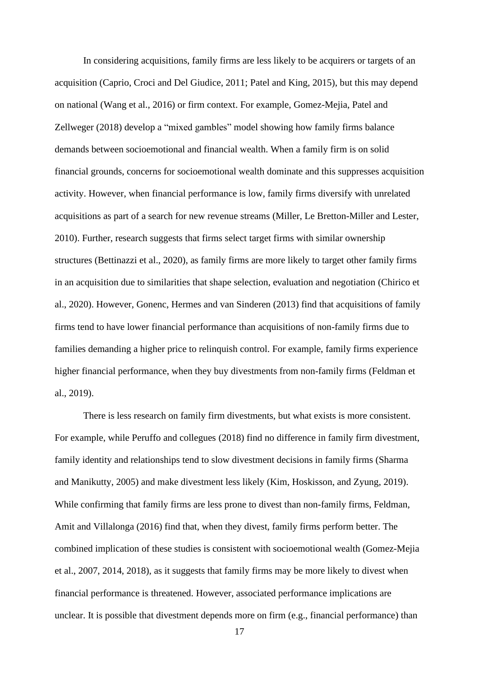In considering acquisitions, family firms are less likely to be acquirers or targets of an acquisition (Caprio, Croci and Del Giudice, 2011; Patel and King, 2015), but this may depend on national (Wang et al., 2016) or firm context. For example, Gomez-Mejia, Patel and Zellweger (2018) develop a "mixed gambles" model showing how family firms balance demands between socioemotional and financial wealth. When a family firm is on solid financial grounds, concerns for socioemotional wealth dominate and this suppresses acquisition activity. However, when financial performance is low, family firms diversify with unrelated acquisitions as part of a search for new revenue streams (Miller, Le Bretton-Miller and Lester, 2010). Further, research suggests that firms select target firms with similar ownership structures (Bettinazzi et al., 2020), as family firms are more likely to target other family firms in an acquisition due to similarities that shape selection, evaluation and negotiation (Chirico et al., 2020). However, Gonenc, Hermes and van Sinderen (2013) find that acquisitions of family firms tend to have lower financial performance than acquisitions of non-family firms due to families demanding a higher price to relinquish control. For example, family firms experience higher financial performance, when they buy divestments from non-family firms (Feldman et al., 2019).

There is less research on family firm divestments, but what exists is more consistent. For example, while Peruffo and collegues (2018) find no difference in family firm divestment, family identity and relationships tend to slow divestment decisions in family firms (Sharma and Manikutty, 2005) and make divestment less likely (Kim, Hoskisson, and Zyung, 2019). While confirming that family firms are less prone to divest than non-family firms, Feldman, Amit and Villalonga (2016) find that, when they divest, family firms perform better. The combined implication of these studies is consistent with socioemotional wealth (Gomez-Mejia et al., 2007, 2014, 2018), as it suggests that family firms may be more likely to divest when financial performance is threatened. However, associated performance implications are unclear. It is possible that divestment depends more on firm (e.g., financial performance) than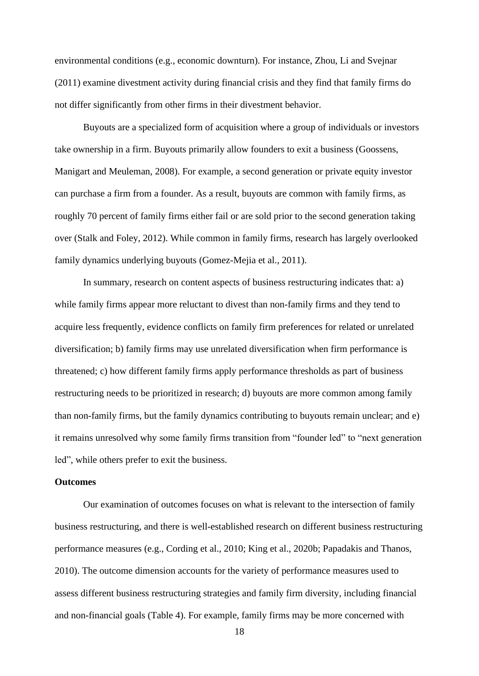environmental conditions (e.g., economic downturn). For instance, Zhou, Li and Svejnar (2011) examine divestment activity during financial crisis and they find that family firms do not differ significantly from other firms in their divestment behavior.

Buyouts are a specialized form of acquisition where a group of individuals or investors take ownership in a firm. Buyouts primarily allow founders to exit a business (Goossens, Manigart and Meuleman, 2008). For example, a second generation or private equity investor can purchase a firm from a founder. As a result, buyouts are common with family firms, as roughly 70 percent of family firms either fail or are sold prior to the second generation taking over (Stalk and Foley, 2012). While common in family firms, research has largely overlooked family dynamics underlying buyouts (Gomez-Mejia et al., 2011).

In summary, research on content aspects of business restructuring indicates that: a) while family firms appear more reluctant to divest than non-family firms and they tend to acquire less frequently, evidence conflicts on family firm preferences for related or unrelated diversification; b) family firms may use unrelated diversification when firm performance is threatened; c) how different family firms apply performance thresholds as part of business restructuring needs to be prioritized in research; d) buyouts are more common among family than non-family firms, but the family dynamics contributing to buyouts remain unclear; and e) it remains unresolved why some family firms transition from "founder led" to "next generation led", while others prefer to exit the business.

#### **Outcomes**

Our examination of outcomes focuses on what is relevant to the intersection of family business restructuring, and there is well-established research on different business restructuring performance measures (e.g., Cording et al., 2010; King et al., 2020b; Papadakis and Thanos, 2010). The outcome dimension accounts for the variety of performance measures used to assess different business restructuring strategies and family firm diversity, including financial and non-financial goals (Table 4). For example, family firms may be more concerned with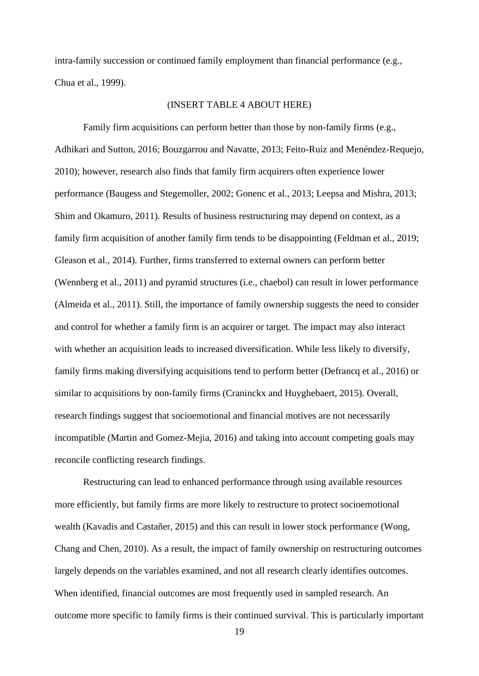intra-family succession or continued family employment than financial performance (e.g., Chua et al., 1999).

#### (INSERT TABLE 4 ABOUT HERE)

Family firm acquisitions can perform better than those by non-family firms (e.g., Adhikari and Sutton, 2016; Bouzgarrou and Navatte, 2013; Feito-Ruiz and Menéndez-Requejo, 2010); however, research also finds that family firm acquirers often experience lower performance (Baugess and Stegemoller, 2002; Gonenc et al., 2013; Leepsa and Mishra, 2013; Shim and Okamuro, 2011). Results of business restructuring may depend on context, as a family firm acquisition of another family firm tends to be disappointing (Feldman et al., 2019; Gleason et al., 2014). Further, firms transferred to external owners can perform better (Wennberg et al., 2011) and pyramid structures (i.e., chaebol) can result in lower performance (Almeida et al., 2011). Still, the importance of family ownership suggests the need to consider and control for whether a family firm is an acquirer or target. The impact may also interact with whether an acquisition leads to increased diversification. While less likely to diversify, family firms making diversifying acquisitions tend to perform better (Defrancq et al., 2016) or similar to acquisitions by non-family firms (Craninckx and Huyghebaert, 2015). Overall, research findings suggest that socioemotional and financial motives are not necessarily incompatible (Martin and Gomez-Mejia, 2016) and taking into account competing goals may reconcile conflicting research findings.

Restructuring can lead to enhanced performance through using available resources more efficiently, but family firms are more likely to restructure to protect socioemotional wealth (Kavadis and Castañer, 2015) and this can result in lower stock performance (Wong, Chang and Chen, 2010). As a result, the impact of family ownership on restructuring outcomes largely depends on the variables examined, and not all research clearly identifies outcomes. When identified, financial outcomes are most frequently used in sampled research. An outcome more specific to family firms is their continued survival. This is particularly important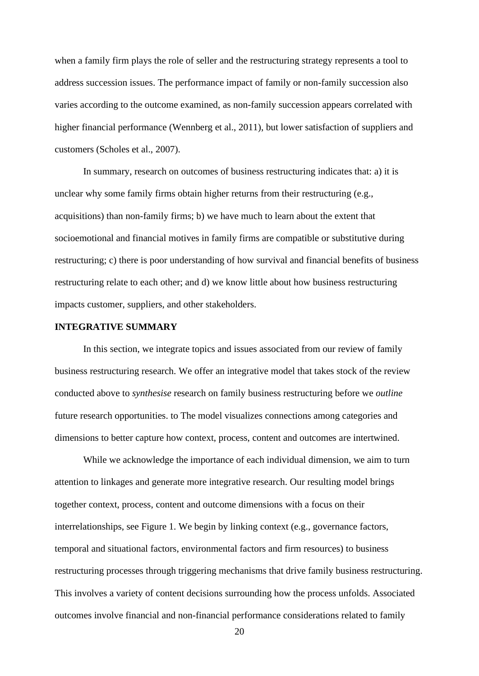when a family firm plays the role of seller and the restructuring strategy represents a tool to address succession issues. The performance impact of family or non-family succession also varies according to the outcome examined, as non-family succession appears correlated with higher financial performance (Wennberg et al., 2011), but lower satisfaction of suppliers and customers (Scholes et al., 2007).

In summary, research on outcomes of business restructuring indicates that: a) it is unclear why some family firms obtain higher returns from their restructuring (e.g., acquisitions) than non-family firms; b) we have much to learn about the extent that socioemotional and financial motives in family firms are compatible or substitutive during restructuring; c) there is poor understanding of how survival and financial benefits of business restructuring relate to each other; and d) we know little about how business restructuring impacts customer, suppliers, and other stakeholders.

### **INTEGRATIVE SUMMARY**

In this section, we integrate topics and issues associated from our review of family business restructuring research. We offer an integrative model that takes stock of the review conducted above to *synthesise* research on family business restructuring before we *outline* future research opportunities. to The model visualizes connections among categories and dimensions to better capture how context, process, content and outcomes are intertwined.

While we acknowledge the importance of each individual dimension, we aim to turn attention to linkages and generate more integrative research. Our resulting model brings together context, process, content and outcome dimensions with a focus on their interrelationships, see Figure 1. We begin by linking context (e.g., governance factors, temporal and situational factors, environmental factors and firm resources) to business restructuring processes through triggering mechanisms that drive family business restructuring. This involves a variety of content decisions surrounding how the process unfolds. Associated outcomes involve financial and non-financial performance considerations related to family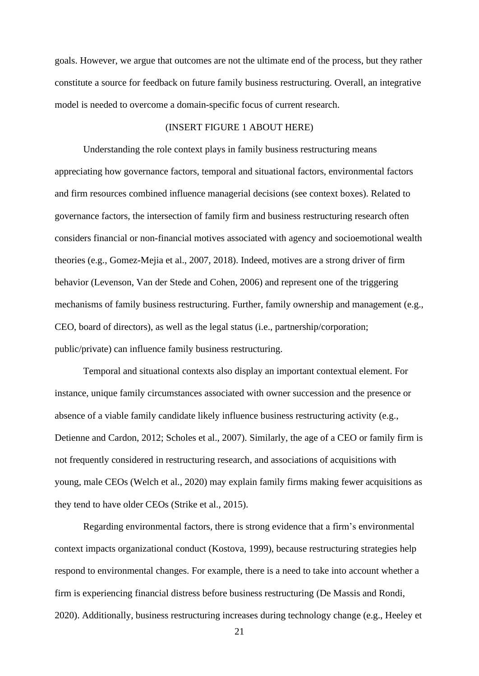goals. However, we argue that outcomes are not the ultimate end of the process, but they rather constitute a source for feedback on future family business restructuring. Overall, an integrative model is needed to overcome a domain-specific focus of current research.

## (INSERT FIGURE 1 ABOUT HERE)

Understanding the role context plays in family business restructuring means appreciating how governance factors, temporal and situational factors, environmental factors and firm resources combined influence managerial decisions (see context boxes). Related to governance factors, the intersection of family firm and business restructuring research often considers financial or non-financial motives associated with agency and socioemotional wealth theories (e.g., Gomez-Mejia et al., 2007, 2018). Indeed, motives are a strong driver of firm behavior (Levenson, Van der Stede and Cohen, 2006) and represent one of the triggering mechanisms of family business restructuring. Further, family ownership and management (e.g., CEO, board of directors), as well as the legal status (i.e., partnership/corporation; public/private) can influence family business restructuring.

Temporal and situational contexts also display an important contextual element. For instance, unique family circumstances associated with owner succession and the presence or absence of a viable family candidate likely influence business restructuring activity (e.g., Detienne and Cardon, 2012; Scholes et al., 2007). Similarly, the age of a CEO or family firm is not frequently considered in restructuring research, and associations of acquisitions with young, male CEOs (Welch et al., 2020) may explain family firms making fewer acquisitions as they tend to have older CEOs (Strike et al., 2015).

Regarding environmental factors, there is strong evidence that a firm's environmental context impacts organizational conduct (Kostova, 1999), because restructuring strategies help respond to environmental changes. For example, there is a need to take into account whether a firm is experiencing financial distress before business restructuring (De Massis and Rondi, 2020). Additionally, business restructuring increases during technology change (e.g., Heeley et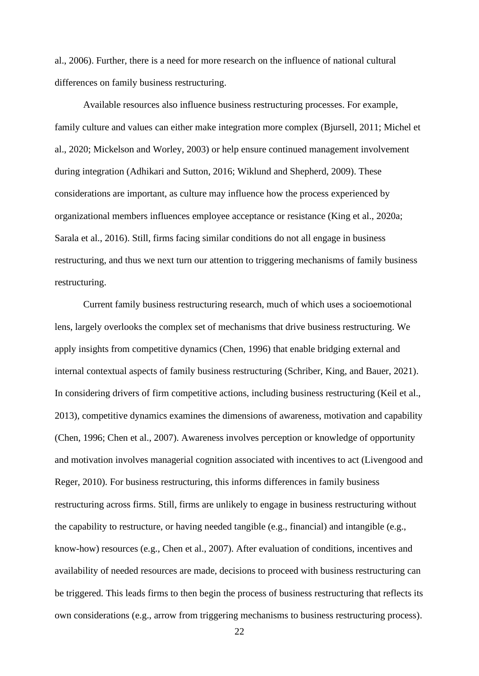al., 2006). Further, there is a need for more research on the influence of national cultural differences on family business restructuring.

Available resources also influence business restructuring processes. For example, family culture and values can either make integration more complex (Bjursell, 2011; Michel et al., 2020; Mickelson and Worley, 2003) or help ensure continued management involvement during integration (Adhikari and Sutton, 2016; Wiklund and Shepherd, 2009). These considerations are important, as culture may influence how the process experienced by organizational members influences employee acceptance or resistance (King et al., 2020a; Sarala et al., 2016). Still, firms facing similar conditions do not all engage in business restructuring, and thus we next turn our attention to triggering mechanisms of family business restructuring.

Current family business restructuring research, much of which uses a socioemotional lens, largely overlooks the complex set of mechanisms that drive business restructuring. We apply insights from competitive dynamics (Chen, 1996) that enable bridging external and internal contextual aspects of family business restructuring (Schriber, King, and Bauer, 2021). In considering drivers of firm competitive actions, including business restructuring (Keil et al., 2013), competitive dynamics examines the dimensions of awareness, motivation and capability (Chen, 1996; Chen et al., 2007). Awareness involves perception or knowledge of opportunity and motivation involves managerial cognition associated with incentives to act (Livengood and Reger, 2010). For business restructuring, this informs differences in family business restructuring across firms. Still, firms are unlikely to engage in business restructuring without the capability to restructure, or having needed tangible (e.g., financial) and intangible (e.g., know-how) resources (e.g., Chen et al., 2007). After evaluation of conditions, incentives and availability of needed resources are made, decisions to proceed with business restructuring can be triggered. This leads firms to then begin the process of business restructuring that reflects its own considerations (e.g., arrow from triggering mechanisms to business restructuring process).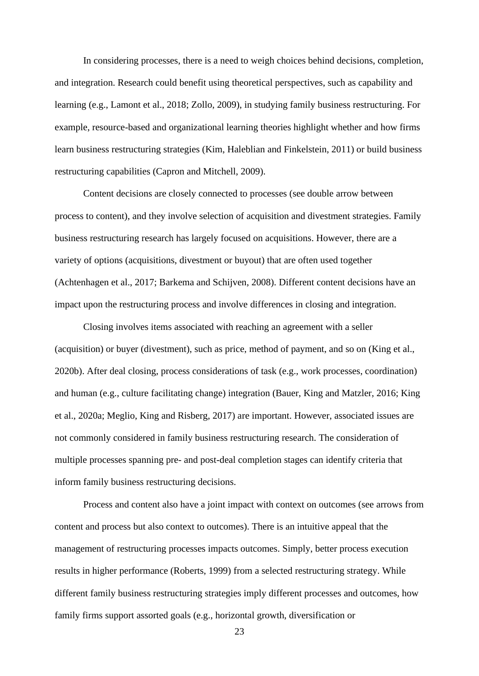In considering processes, there is a need to weigh choices behind decisions, completion, and integration. Research could benefit using theoretical perspectives, such as capability and learning (e.g., Lamont et al., 2018; Zollo, 2009), in studying family business restructuring. For example, resource-based and organizational learning theories highlight whether and how firms learn business restructuring strategies (Kim, Haleblian and Finkelstein, 2011) or build business restructuring capabilities (Capron and Mitchell, 2009).

Content decisions are closely connected to processes (see double arrow between process to content), and they involve selection of acquisition and divestment strategies. Family business restructuring research has largely focused on acquisitions. However, there are a variety of options (acquisitions, divestment or buyout) that are often used together (Achtenhagen et al., 2017; Barkema and Schijven, 2008). Different content decisions have an impact upon the restructuring process and involve differences in closing and integration.

Closing involves items associated with reaching an agreement with a seller (acquisition) or buyer (divestment), such as price, method of payment, and so on (King et al., 2020b). After deal closing, process considerations of task (e.g., work processes, coordination) and human (e.g., culture facilitating change) integration (Bauer, King and Matzler, 2016; King et al., 2020a; Meglio, King and Risberg, 2017) are important. However, associated issues are not commonly considered in family business restructuring research. The consideration of multiple processes spanning pre- and post-deal completion stages can identify criteria that inform family business restructuring decisions.

Process and content also have a joint impact with context on outcomes (see arrows from content and process but also context to outcomes). There is an intuitive appeal that the management of restructuring processes impacts outcomes. Simply, better process execution results in higher performance (Roberts, 1999) from a selected restructuring strategy. While different family business restructuring strategies imply different processes and outcomes, how family firms support assorted goals (e.g., horizontal growth, diversification or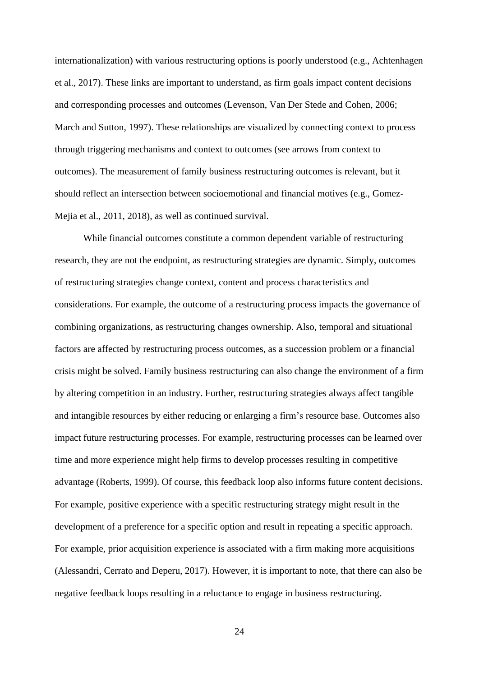internationalization) with various restructuring options is poorly understood (e.g., Achtenhagen et al., 2017). These links are important to understand, as firm goals impact content decisions and corresponding processes and outcomes (Levenson, Van Der Stede and Cohen, 2006; March and Sutton, 1997). These relationships are visualized by connecting context to process through triggering mechanisms and context to outcomes (see arrows from context to outcomes). The measurement of family business restructuring outcomes is relevant, but it should reflect an intersection between socioemotional and financial motives (e.g., Gomez-Mejia et al., 2011, 2018), as well as continued survival.

While financial outcomes constitute a common dependent variable of restructuring research, they are not the endpoint, as restructuring strategies are dynamic. Simply, outcomes of restructuring strategies change context, content and process characteristics and considerations. For example, the outcome of a restructuring process impacts the governance of combining organizations, as restructuring changes ownership. Also, temporal and situational factors are affected by restructuring process outcomes, as a succession problem or a financial crisis might be solved. Family business restructuring can also change the environment of a firm by altering competition in an industry. Further, restructuring strategies always affect tangible and intangible resources by either reducing or enlarging a firm's resource base. Outcomes also impact future restructuring processes. For example, restructuring processes can be learned over time and more experience might help firms to develop processes resulting in competitive advantage (Roberts, 1999). Of course, this feedback loop also informs future content decisions. For example, positive experience with a specific restructuring strategy might result in the development of a preference for a specific option and result in repeating a specific approach. For example, prior acquisition experience is associated with a firm making more acquisitions (Alessandri, Cerrato and Deperu, 2017). However, it is important to note, that there can also be negative feedback loops resulting in a reluctance to engage in business restructuring.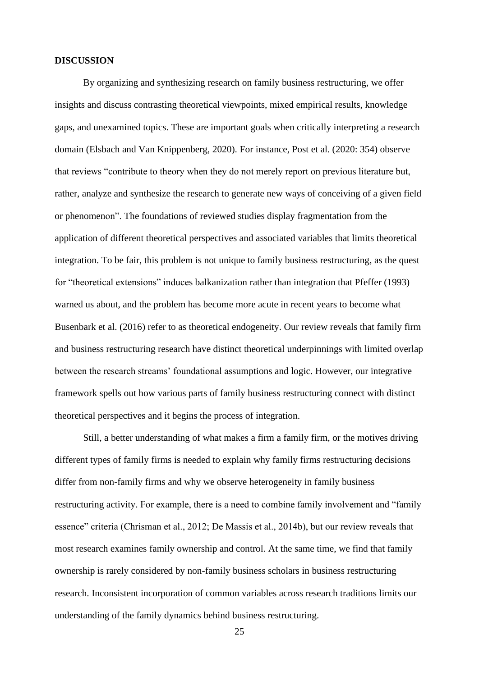#### **DISCUSSION**

By organizing and synthesizing research on family business restructuring, we offer insights and discuss contrasting theoretical viewpoints, mixed empirical results, knowledge gaps, and unexamined topics. These are important goals when critically interpreting a research domain (Elsbach and Van Knippenberg, 2020). For instance, Post et al. (2020: 354) observe that reviews "contribute to theory when they do not merely report on previous literature but, rather, analyze and synthesize the research to generate new ways of conceiving of a given field or phenomenon". The foundations of reviewed studies display fragmentation from the application of different theoretical perspectives and associated variables that limits theoretical integration. To be fair, this problem is not unique to family business restructuring, as the quest for "theoretical extensions" induces balkanization rather than integration that Pfeffer (1993) warned us about, and the problem has become more acute in recent years to become what Busenbark et al. (2016) refer to as theoretical endogeneity. Our review reveals that family firm and business restructuring research have distinct theoretical underpinnings with limited overlap between the research streams' foundational assumptions and logic. However, our integrative framework spells out how various parts of family business restructuring connect with distinct theoretical perspectives and it begins the process of integration.

Still, a better understanding of what makes a firm a family firm, or the motives driving different types of family firms is needed to explain why family firms restructuring decisions differ from non-family firms and why we observe heterogeneity in family business restructuring activity. For example, there is a need to combine family involvement and "family essence" criteria (Chrisman et al., 2012; De Massis et al., 2014b), but our review reveals that most research examines family ownership and control. At the same time, we find that family ownership is rarely considered by non-family business scholars in business restructuring research. Inconsistent incorporation of common variables across research traditions limits our understanding of the family dynamics behind business restructuring.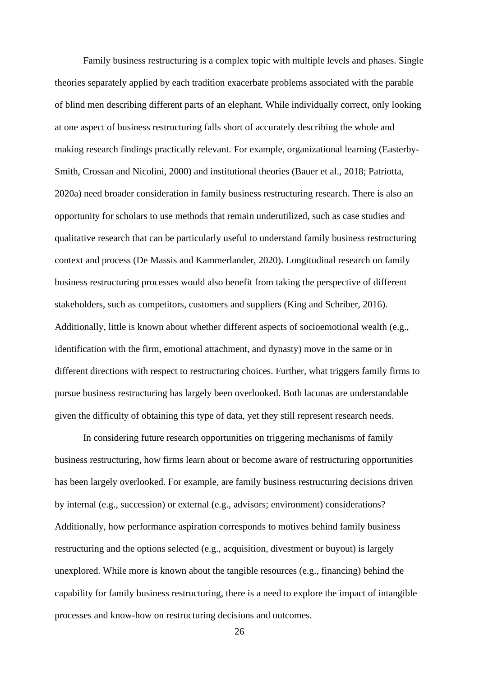Family business restructuring is a complex topic with multiple levels and phases. Single theories separately applied by each tradition exacerbate problems associated with the parable of blind men describing different parts of an elephant. While individually correct, only looking at one aspect of business restructuring falls short of accurately describing the whole and making research findings practically relevant. For example, organizational learning (Easterby-Smith, Crossan and Nicolini, 2000) and institutional theories (Bauer et al., 2018; Patriotta, 2020a) need broader consideration in family business restructuring research. There is also an opportunity for scholars to use methods that remain underutilized, such as case studies and qualitative research that can be particularly useful to understand family business restructuring context and process (De Massis and Kammerlander, 2020). Longitudinal research on family business restructuring processes would also benefit from taking the perspective of different stakeholders, such as competitors, customers and suppliers (King and Schriber, 2016). Additionally, little is known about whether different aspects of socioemotional wealth (e.g., identification with the firm, emotional attachment, and dynasty) move in the same or in different directions with respect to restructuring choices. Further, what triggers family firms to pursue business restructuring has largely been overlooked. Both lacunas are understandable given the difficulty of obtaining this type of data, yet they still represent research needs.

In considering future research opportunities on triggering mechanisms of family business restructuring, how firms learn about or become aware of restructuring opportunities has been largely overlooked. For example, are family business restructuring decisions driven by internal (e.g., succession) or external (e.g., advisors; environment) considerations? Additionally, how performance aspiration corresponds to motives behind family business restructuring and the options selected (e.g., acquisition, divestment or buyout) is largely unexplored. While more is known about the tangible resources (e.g., financing) behind the capability for family business restructuring, there is a need to explore the impact of intangible processes and know-how on restructuring decisions and outcomes.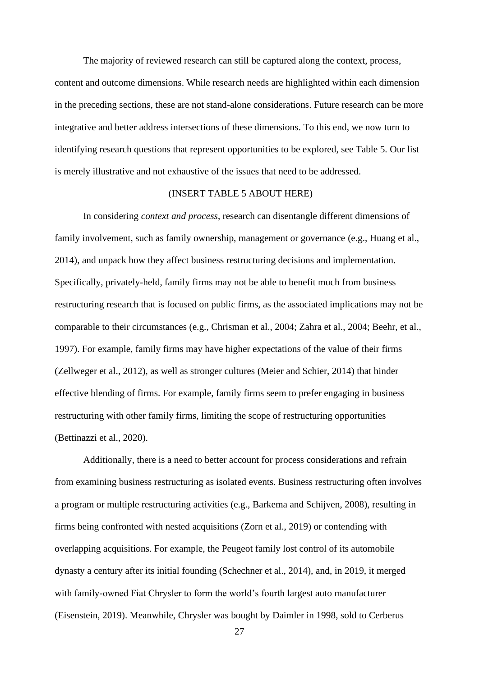The majority of reviewed research can still be captured along the context, process, content and outcome dimensions. While research needs are highlighted within each dimension in the preceding sections, these are not stand-alone considerations. Future research can be more integrative and better address intersections of these dimensions. To this end, we now turn to identifying research questions that represent opportunities to be explored, see Table 5. Our list is merely illustrative and not exhaustive of the issues that need to be addressed.

#### (INSERT TABLE 5 ABOUT HERE)

In considering *context and process*, research can disentangle different dimensions of family involvement, such as family ownership, management or governance (e.g., Huang et al., 2014), and unpack how they affect business restructuring decisions and implementation. Specifically, privately-held, family firms may not be able to benefit much from business restructuring research that is focused on public firms, as the associated implications may not be comparable to their circumstances (e.g., Chrisman et al., 2004; Zahra et al., 2004; Beehr, et al., 1997). For example, family firms may have higher expectations of the value of their firms (Zellweger et al., 2012), as well as stronger cultures (Meier and Schier, 2014) that hinder effective blending of firms. For example, family firms seem to prefer engaging in business restructuring with other family firms, limiting the scope of restructuring opportunities (Bettinazzi et al., 2020).

Additionally, there is a need to better account for process considerations and refrain from examining business restructuring as isolated events. Business restructuring often involves a program or multiple restructuring activities (e.g., Barkema and Schijven, 2008), resulting in firms being confronted with nested acquisitions (Zorn et al., 2019) or contending with overlapping acquisitions. For example, the Peugeot family lost control of its automobile dynasty a century after its initial founding (Schechner et al., 2014), and, in 2019, it merged with family-owned Fiat Chrysler to form the world's fourth largest auto manufacturer (Eisenstein, 2019). Meanwhile, Chrysler was bought by Daimler in 1998, sold to Cerberus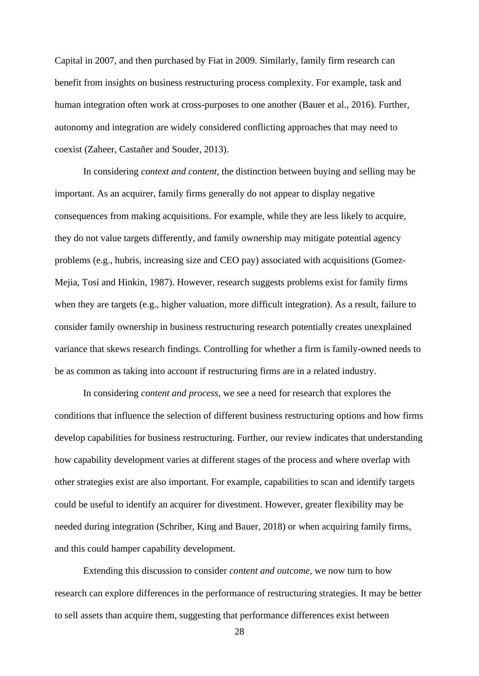Capital in 2007, and then purchased by Fiat in 2009. Similarly, family firm research can benefit from insights on business restructuring process complexity. For example, task and human integration often work at cross-purposes to one another (Bauer et al., 2016). Further, autonomy and integration are widely considered conflicting approaches that may need to coexist (Zaheer, Castañer and Souder, 2013).

In considering *context and content*, the distinction between buying and selling may be important. As an acquirer, family firms generally do not appear to display negative consequences from making acquisitions. For example, while they are less likely to acquire, they do not value targets differently, and family ownership may mitigate potential agency problems (e.g., hubris, increasing size and CEO pay) associated with acquisitions (Gomez-Mejia, Tosi and Hinkin, 1987). However, research suggests problems exist for family firms when they are targets (e.g., higher valuation, more difficult integration). As a result, failure to consider family ownership in business restructuring research potentially creates unexplained variance that skews research findings. Controlling for whether a firm is family-owned needs to be as common as taking into account if restructuring firms are in a related industry.

In considering *content and process*, we see a need for research that explores the conditions that influence the selection of different business restructuring options and how firms develop capabilities for business restructuring. Further, our review indicates that understanding how capability development varies at different stages of the process and where overlap with other strategies exist are also important. For example, capabilities to scan and identify targets could be useful to identify an acquirer for divestment. However, greater flexibility may be needed during integration (Schriber, King and Bauer, 2018) or when acquiring family firms, and this could hamper capability development.

Extending this discussion to consider *content and outcome*, we now turn to how research can explore differences in the performance of restructuring strategies. It may be better to sell assets than acquire them, suggesting that performance differences exist between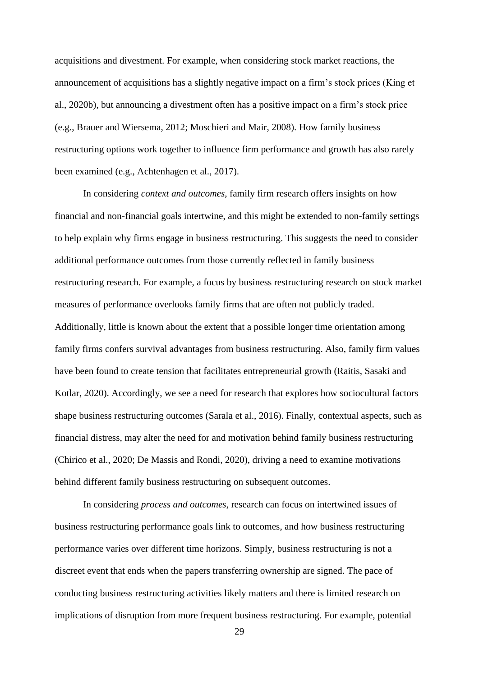acquisitions and divestment. For example, when considering stock market reactions, the announcement of acquisitions has a slightly negative impact on a firm's stock prices (King et al., 2020b), but announcing a divestment often has a positive impact on a firm's stock price (e.g., Brauer and Wiersema, 2012; Moschieri and Mair, 2008). How family business restructuring options work together to influence firm performance and growth has also rarely been examined (e.g., Achtenhagen et al., 2017).

In considering *context and outcomes*, family firm research offers insights on how financial and non-financial goals intertwine, and this might be extended to non-family settings to help explain why firms engage in business restructuring. This suggests the need to consider additional performance outcomes from those currently reflected in family business restructuring research. For example, a focus by business restructuring research on stock market measures of performance overlooks family firms that are often not publicly traded. Additionally, little is known about the extent that a possible longer time orientation among family firms confers survival advantages from business restructuring. Also, family firm values have been found to create tension that facilitates entrepreneurial growth (Raitis, Sasaki and Kotlar, 2020). Accordingly, we see a need for research that explores how sociocultural factors shape business restructuring outcomes (Sarala et al., 2016). Finally, contextual aspects, such as financial distress, may alter the need for and motivation behind family business restructuring (Chirico et al., 2020; De Massis and Rondi, 2020), driving a need to examine motivations behind different family business restructuring on subsequent outcomes.

In considering *process and outcomes*, research can focus on intertwined issues of business restructuring performance goals link to outcomes, and how business restructuring performance varies over different time horizons. Simply, business restructuring is not a discreet event that ends when the papers transferring ownership are signed. The pace of conducting business restructuring activities likely matters and there is limited research on implications of disruption from more frequent business restructuring. For example, potential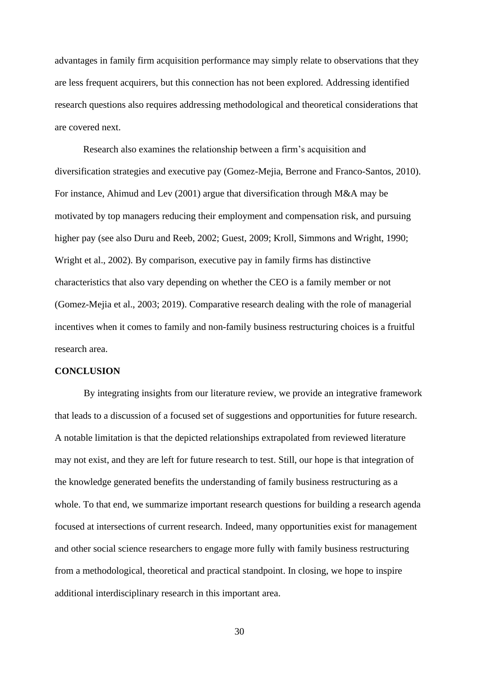advantages in family firm acquisition performance may simply relate to observations that they are less frequent acquirers, but this connection has not been explored. Addressing identified research questions also requires addressing methodological and theoretical considerations that are covered next.

Research also examines the relationship between a firm's acquisition and diversification strategies and executive pay (Gomez-Mejia, Berrone and Franco-Santos, 2010). For instance, Ahimud and Lev (2001) argue that diversification through M&A may be motivated by top managers reducing their employment and compensation risk, and pursuing higher pay (see also Duru and Reeb, 2002; Guest, 2009; Kroll, Simmons and Wright, 1990; Wright et al., 2002). By comparison, executive pay in family firms has distinctive characteristics that also vary depending on whether the CEO is a family member or not (Gomez-Mejia et al., 2003; 2019). Comparative research dealing with the role of managerial incentives when it comes to family and non-family business restructuring choices is a fruitful research area.

#### **CONCLUSION**

By integrating insights from our literature review, we provide an integrative framework that leads to a discussion of a focused set of suggestions and opportunities for future research. A notable limitation is that the depicted relationships extrapolated from reviewed literature may not exist, and they are left for future research to test. Still, our hope is that integration of the knowledge generated benefits the understanding of family business restructuring as a whole. To that end, we summarize important research questions for building a research agenda focused at intersections of current research. Indeed, many opportunities exist for management and other social science researchers to engage more fully with family business restructuring from a methodological, theoretical and practical standpoint. In closing, we hope to inspire additional interdisciplinary research in this important area.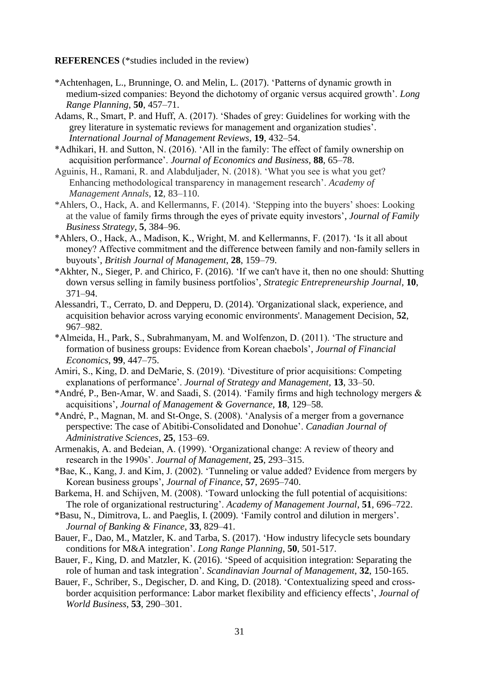#### **REFERENCES** (\*studies included in the review)

- \*Achtenhagen, L., Brunninge, O. and Melin, L. (2017). 'Patterns of dynamic growth in medium-sized companies: Beyond the dichotomy of organic versus acquired growth'. *Long Range Planning*, **50**, 457–71.
- Adams, R., Smart, P. and Huff, A. (2017). 'Shades of grey: Guidelines for working with the grey literature in systematic reviews for management and organization studies'. *International Journal of Management Reviews*, **19**, 432–54.
- \*Adhikari, H. and Sutton, N. (2016). 'All in the family: The effect of family ownership on acquisition performance'. *Journal of Economics and Business*, **88**, 65–78.
- Aguinis, H., Ramani, R. and Alabduljader, N. (2018). 'What you see is what you get? Enhancing methodological transparency in management research'. *Academy of Management Annals*, **12**, 83–110.
- \*Ahlers, O., Hack, A. and Kellermanns, F. (2014). 'Stepping into the buyers' shoes: Looking at the value of family firms through the eyes of private equity investors', *Journal of Family Business Strategy*, **5**, 384–96.
- \*Ahlers, O., Hack, A., Madison, K., Wright, M. and Kellermanns, F. (2017). 'Is it all about money? Affective commitment and the difference between family and non-family sellers in buyouts', *British Journal of Management*, **28**, 159–79.
- \*Akhter, N., Sieger, P. and Chirico, F. (2016). 'If we can't have it, then no one should: Shutting down versus selling in family business portfolios', *Strategic Entrepreneurship Journal*, **10**, 371–94.
- Alessandri, T., Cerrato, D. and Depperu, D. (2014). 'Organizational slack, experience, and acquisition behavior across varying economic environments'. Management Decision, **52**, 967–982.
- \*Almeida, H., Park, S., Subrahmanyam, M. and Wolfenzon, D. (2011). 'The structure and formation of business groups: Evidence from Korean chaebols', *Journal of Financial Economics*, **99**, 447–75.
- Amiri, S., King, D. and DeMarie, S. (2019). 'Divestiture of prior acquisitions: Competing explanations of performance'. *Journal of Strategy and Management,* **13**, 33–50.
- \*André, P., Ben-Amar, W. and Saadi, S. (2014). 'Family firms and high technology mergers & acquisitions', *Journal of Management & Governance,* **18**, 129–58.
- \*André, P., Magnan, M. and St‐Onge, S. (2008). 'Analysis of a merger from a governance perspective: The case of Abitibi‐Consolidated and Donohue'. *Canadian Journal of Administrative Sciences*, **25**, 153–69.
- Armenakis, A. and Bedeian, A. (1999). 'Organizational change: A review of theory and research in the 1990s'. *Journal of Management*, **25**, 293–315.
- \*Bae, K., Kang, J. and Kim, J. (2002). 'Tunneling or value added? Evidence from mergers by Korean business groups', *Journal of Finance*, **57**, 2695–740.
- Barkema, H. and Schijven, M. (2008). 'Toward unlocking the full potential of acquisitions: The role of organizational restructuring'. *Academy of Management Journal*, **51**, 696–722.
- \*Basu, N., Dimitrova, L. and Paeglis, I. (2009). 'Family control and dilution in mergers'. *Journal of Banking & Finance*, **33**, 829–41.
- Bauer, F., Dao, M., Matzler, K. and Tarba, S. (2017). 'How industry lifecycle sets boundary conditions for M&A integration'. *Long Range Planning*, **50**, 501-517.
- Bauer, F., King, D. and Matzler, K. (2016). 'Speed of acquisition integration: Separating the role of human and task integration'. *Scandinavian Journal of Management*, **32**, 150-165.
- Bauer, F., Schriber, S., Degischer, D. and King, D. (2018). 'Contextualizing speed and crossborder acquisition performance: Labor market flexibility and efficiency effects', *Journal of World Business*, **53**, 290–301.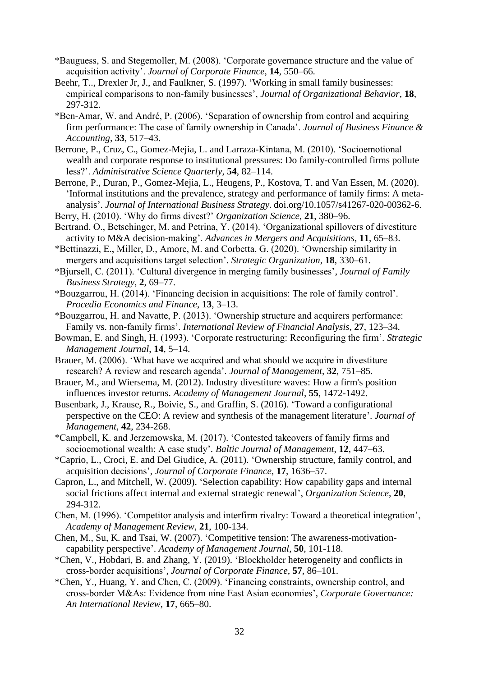- \*Bauguess, S. and Stegemoller, M. (2008). 'Corporate governance structure and the value of acquisition activity'. *Journal of Corporate Finance*, **14**, 550–66.
- Beehr, T.., Drexler Jr, J., and Faulkner, S. (1997). 'Working in small family businesses: empirical comparisons to non‐family businesses', *Journal of Organizational Behavior*, **18**, 297-312.
- \*Ben‐Amar, W. and André, P. (2006). 'Separation of ownership from control and acquiring firm performance: The case of family ownership in Canada'. *Journal of Business Finance & Accounting,* **33**, 517–43.
- Berrone, P., Cruz, C., Gomez-Mejia, L. and Larraza-Kintana, M. (2010). 'Socioemotional wealth and corporate response to institutional pressures: Do family-controlled firms pollute less?'. *Administrative Science Quarterly*, **54**, 82–114.
- Berrone, P., Duran, P., Gomez-Mejia, L., Heugens, P., Kostova, T. and Van Essen, M. (2020). 'Informal institutions and the prevalence, strategy and performance of family firms: A metaanalysis'. *Journal of International Business Strategy.* doi.org/10.1057/s41267-020-00362-6.
- Berry, H. (2010). 'Why do firms divest?' *Organization Science*, **21**, 380–96.
- Bertrand, O., Betschinger, M. and Petrina, Y. (2014). 'Organizational spillovers of divestiture activity to M&A decision-making'. *Advances in Mergers and Acquisitions*, **11**, 65–83.
- \*Bettinazzi, E., Miller, D., Amore, M. and Corbetta, G. (2020). 'Ownership similarity in mergers and acquisitions target selection'. *Strategic Organization*, **18**, 330–61.
- \*Bjursell, C. (2011). 'Cultural divergence in merging family businesses', *Journal of Family Business Strategy*, **2**, 69–77.
- \*Bouzgarrou, H. (2014). 'Financing decision in acquisitions: The role of family control'. *Procedia Economics and Finance*, **13**, 3–13.
- \*Bouzgarrou, H. and Navatte, P. (2013). 'Ownership structure and acquirers performance: Family vs. non-family firms'. *International Review of Financial Analysis*, **27**, 123–34.
- Bowman, E. and Singh, H. (1993). 'Corporate restructuring: Reconfiguring the firm'. *Strategic Management Journal*, **14**, 5–14.
- Brauer, M. (2006). 'What have we acquired and what should we acquire in divestiture research? A review and research agenda'. *Journal of Management*, **32**, 751–85.
- Brauer, M., and Wiersema, M. (2012). Industry divestiture waves: How a firm's position influences investor returns. *Academy of Management Journal*, **55**, 1472-1492.
- Busenbark, J., Krause, R., Boivie, S., and Graffin, S. (2016). 'Toward a configurational perspective on the CEO: A review and synthesis of the management literature'. *Journal of Management*, **42**, 234-268.
- \*Campbell, K. and Jerzemowska, M. (2017). 'Contested takeovers of family firms and socioemotional wealth: A case study'*. Baltic Journal of Management*, **12**, 447–63.
- \*Caprio, L., Croci, E. and Del Giudice, A. (2011). 'Ownership structure, family control, and acquisition decisions', *Journal of Corporate Finance*, **17**, 1636–57.
- Capron, L., and Mitchell, W. (2009). 'Selection capability: How capability gaps and internal social frictions affect internal and external strategic renewal', *Organization Science*, **20**, 294-312.
- Chen, M. (1996). 'Competitor analysis and interfirm rivalry: Toward a theoretical integration', *Academy of Management Review*, **21**, 100-134.
- Chen, M., Su, K. and Tsai, W. (2007). 'Competitive tension: The awareness-motivationcapability perspective'. *Academy of Management Journal*, **50**, 101-118.
- \*Chen, V., Hobdari, B. and Zhang, Y. (2019). 'Blockholder heterogeneity and conflicts in cross-border acquisitions', *Journal of Corporate Finance*, **57**, 86–101.
- \*Chen, Y., Huang, Y. and Chen, C. (2009). 'Financing constraints, ownership control, and cross‐border M&As: Evidence from nine East Asian economies', *Corporate Governance: An International Review*, **17**, 665–80.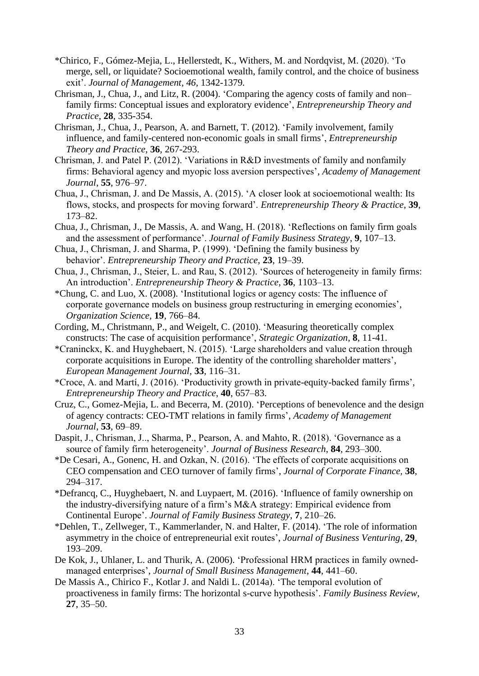- \*Chirico, F., Gómez-Mejia, L., Hellerstedt, K., Withers, M. and Nordqvist, M. (2020). 'To merge, sell, or liquidate? Socioemotional wealth, family control, and the choice of business exit'. *Journal of Management, 46,* 1342-1379*.*
- Chrisman, J., Chua, J., and Litz, R. (2004). 'Comparing the agency costs of family and non– family firms: Conceptual issues and exploratory evidence', *Entrepreneurship Theory and Practice*, **28**, 335-354.
- Chrisman, J., Chua, J., Pearson, A. and Barnett, T. (2012). 'Family involvement, family influence, and family-centered non-economic goals in small firms', *Entrepreneurship Theory and Practice*, **36**, 267-293.
- Chrisman, J. and Patel P. (2012). 'Variations in R&D investments of family and nonfamily firms: Behavioral agency and myopic loss aversion perspectives', *Academy of Management Journal*, **55**, 976–97.
- Chua, J., Chrisman, J. and De Massis, A. (2015). 'A closer look at socioemotional wealth: Its flows, stocks, and prospects for moving forward'. *Entrepreneurship Theory & Practice*, **39**, 173–82.
- Chua, J., Chrisman, J., De Massis, A. and Wang, H. (2018). 'Reflections on family firm goals and the assessment of performance'. *Journal of Family Business Strategy*, **9**, 107–13.
- Chua, J., Chrisman, J. and Sharma, P. (1999). 'Defining the family business by behavior'. *Entrepreneurship Theory and Practice*, **23**, 19–39.
- Chua, J., Chrisman, J., Steier, L. and Rau, S. (2012). 'Sources of heterogeneity in family firms: An introduction'. *Entrepreneurship Theory & Practice*, **36**, 1103–13.
- \*Chung, C. and Luo, X. (2008). 'Institutional logics or agency costs: The influence of corporate governance models on business group restructuring in emerging economies', *Organization Science*, **19**, 766–84.
- Cording, M., Christmann, P., and Weigelt, C. (2010). 'Measuring theoretically complex constructs: The case of acquisition performance', *Strategic Organization*, **8**, 11-41.
- \*Craninckx, K. and Huyghebaert, N. (2015). 'Large shareholders and value creation through corporate acquisitions in Europe. The identity of the controlling shareholder matters', *European Management Journal*, **33**, 116–31.
- \*Croce, A. and Martí, J. (2016). 'Productivity growth in private-equity-backed family firms', *Entrepreneurship Theory and Practice*, **40**, 657–83.
- Cruz, C., Gomez-Mejia, L. and Becerra, M. (2010). 'Perceptions of benevolence and the design of agency contracts: CEO-TMT relations in family firms', *Academy of Management Journal*, **53**, 69–89.
- Daspit, J., Chrisman, J.., Sharma, P., Pearson, A. and Mahto, R. (2018). 'Governance as a source of family firm heterogeneity'. *Journal of Business Research*, **84**, 293–300.
- \*De Cesari, A., Gonenc, H. and Ozkan, N. (2016). 'The effects of corporate acquisitions on CEO compensation and CEO turnover of family firms', *Journal of Corporate Finance,* **38**, 294–317.
- \*Defrancq, C., Huyghebaert, N. and Luypaert, M. (2016). 'Influence of family ownership on the industry-diversifying nature of a firm's M&A strategy: Empirical evidence from Continental Europe'. *Journal of Family Business Strategy*, **7**, 210–26.
- \*Dehlen, T., Zellweger, T., Kammerlander, N. and Halter, F. (2014). 'The role of information asymmetry in the choice of entrepreneurial exit routes', *Journal of Business Venturing*, **29**, 193–209.
- De Kok, J., Uhlaner, L. and Thurik, A. (2006). 'Professional HRM practices in family ownedmanaged enterprises', *Journal of Small Business Management*, **44**, 441–60.
- De Massis A., Chirico F., Kotlar J. and Naldi L. (2014a). 'The temporal evolution of proactiveness in family firms: The horizontal s-curve hypothesis'. *Family Business Review*, **27**, 35–50.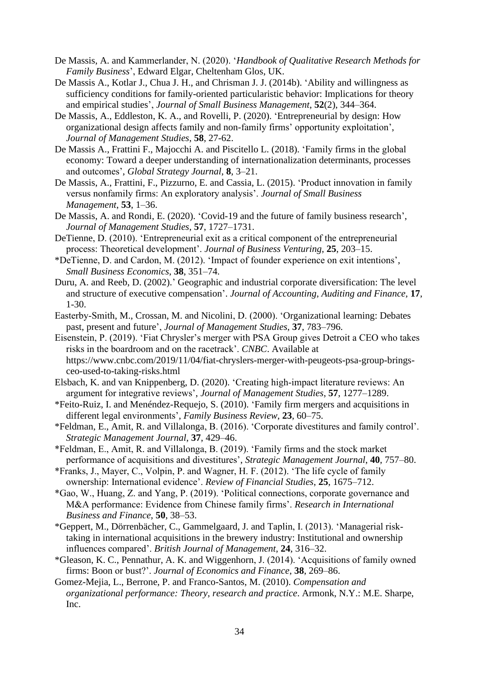- De Massis, A. and Kammerlander, N. (2020). '*Handbook of Qualitative Research Methods for Family Business*', Edward Elgar, Cheltenham Glos, UK.
- De Massis A., Kotlar J., Chua J. H., and Chrisman J. J. (2014b). 'Ability and willingness as sufficiency conditions for family-oriented particularistic behavior: Implications for theory and empirical studies', *Journal of Small Business Management*, **52**(2), 344–364.
- De Massis, A., Eddleston, K. A., and Rovelli, P. (2020). 'Entrepreneurial by design: How organizational design affects family and non-family firms' opportunity exploitation', *Journal of Management Studies*, **58**, 27-62.
- De Massis A., Frattini F., Majocchi A. and Piscitello L. (2018). 'Family firms in the global economy: Toward a deeper understanding of internationalization determinants, processes and outcomes', *Global Strategy Journal*, **8**, 3–21.
- De Massis, A., Frattini, F., Pizzurno, E. and Cassia, L. (2015). 'Product innovation in family versus nonfamily firms: An exploratory analysis'. *Journal of Small Business Management*, **53**, 1–36.
- De Massis, A. and Rondi, E. (2020). 'Covid-19 and the future of family business research', *Journal of Management Studies*, **57**, 1727–1731.
- DeTienne, D. (2010). 'Entrepreneurial exit as a critical component of the entrepreneurial process: Theoretical development'. *Journal of Business Venturing*, **25**, 203–15.
- \*DeTienne, D. and Cardon, M. (2012). 'Impact of founder experience on exit intentions', *Small Business Economics*, **38**, 351–74.
- Duru, A. and Reeb, D. (2002).' Geographic and industrial corporate diversification: The level and structure of executive compensation'. *Journal of Accounting, Auditing and Finance,* **17**, 1-30.
- Easterby‐Smith, M., Crossan, M. and Nicolini, D. (2000). 'Organizational learning: Debates past, present and future', *Journal of Management Studies*, **37**, 783–796.
- Eisenstein, P. (2019). 'Fiat Chrysler's merger with PSA Group gives Detroit a CEO who takes risks in the boardroom and on the racetrack'. *CNBC*. Available at https://www.cnbc.com/2019/11/04/fiat-chryslers-merger-with-peugeots-psa-group-bringsceo-used-to-taking-risks.html
- Elsbach, K. and van Knippenberg, D. (2020). 'Creating high‐impact literature reviews: An argument for integrative reviews', *Journal of Management Studies*, **57**, 1277–1289.
- \*Feito-Ruiz, I. and Menéndez-Requejo, S. (2010). 'Family firm mergers and acquisitions in different legal environments', *Family Business Review*, **23**, 60–75.
- \*Feldman, E., Amit, R. and Villalonga, B. (2016). 'Corporate divestitures and family control'. *Strategic Management Journal*, **37**, 429–46.
- \*Feldman, E., Amit, R. and Villalonga, B. (2019). 'Family firms and the stock market performance of acquisitions and divestitures', *Strategic Management Journal*, **40**, 757–80.
- \*Franks, J., Mayer, C., Volpin, P. and Wagner, H. F. (2012). 'The life cycle of family ownership: International evidence'. *Review of Financial Studies*, **25**, 1675–712.
- \*Gao, W., Huang, Z. and Yang, P. (2019). 'Political connections, corporate governance and M&A performance: Evidence from Chinese family firms'. *Research in International Business and Finance*, **50**, 38–53.
- \*Geppert, M., Dörrenbächer, C., Gammelgaard, J. and Taplin, I. (2013). 'Managerial risk‐ taking in international acquisitions in the brewery industry: Institutional and ownership influences compared'. *British Journal of Management*, **24**, 316–32.
- \*Gleason, K. C., Pennathur, A. K. and Wiggenhorn, J. (2014). 'Acquisitions of family owned firms: Boon or bust?'. *Journal of Economics and Finance*, **38**, 269–86.
- Gomez-Mejia, L., Berrone, P. and Franco-Santos, M. (2010). *Compensation and organizational performance: Theory, research and practice*. Armonk, N.Y.: M.E. Sharpe, Inc.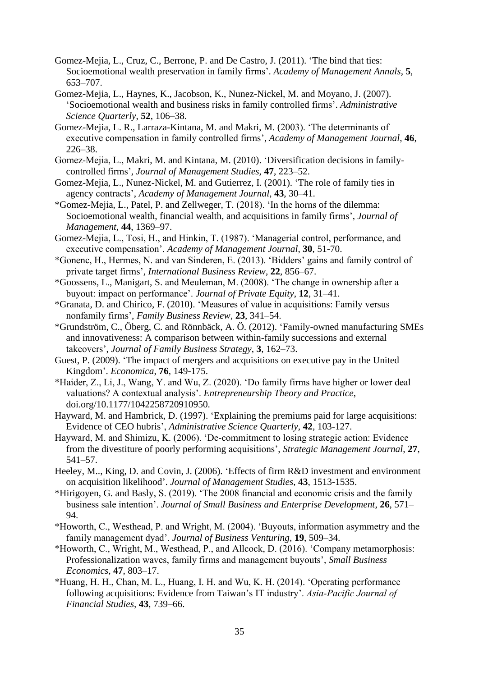- Gomez-Mejia, L., Cruz, C., Berrone, P. and De Castro, J. (2011). 'The bind that ties: Socioemotional wealth preservation in family firms'. *Academy of Management Annals*, **5**, 653–707.
- Gomez-Mejia, L., Haynes, K., Jacobson, K., Nunez-Nickel, M. and Moyano, J. (2007). 'Socioemotional wealth and business risks in family controlled firms'. *Administrative Science Quarterly*, **52**, 106–38.
- Gomez-Mejia, L. R., Larraza-Kintana, M. and Makri, M. (2003). 'The determinants of executive compensation in family controlled firms', *Academy of Management Journal*, **46**, 226–38.
- Gomez‐Mejia, L., Makri, M. and Kintana, M. (2010). 'Diversification decisions in family‐ controlled firms', *Journal of Management Studies*, **47**, 223–52.
- Gomez-Mejia, L., Nunez-Nickel, M. and Gutierrez, I. (2001). 'The role of family ties in agency contracts', *Academy of Management Journal*, **43**, 30–41.
- \*Gomez-Mejia, L., Patel, P. and Zellweger, T. (2018). 'In the horns of the dilemma: Socioemotional wealth, financial wealth, and acquisitions in family firms', *Journal of Management,* **44**, 1369–97.
- Gomez-Mejia, L., Tosi, H., and Hinkin, T. (1987). 'Managerial control, performance, and executive compensation'. *Academy of Management Journal*, **30**, 51-70.
- \*Gonenc, H., Hermes, N. and van Sinderen, E. (2013). 'Bidders' gains and family control of private target firms', *International Business Review*, **22**, 856–67.
- \*Goossens, L., Manigart, S. and Meuleman, M. (2008). 'The change in ownership after a buyout: impact on performance'. *Journal of Private Equity*, **12**, 31–41.
- \*Granata, D. and Chirico, F. (2010). 'Measures of value in acquisitions: Family versus nonfamily firms', *Family Business Review*, **23**, 341–54.
- \*Grundström, C., Öberg, C. and Rönnbäck, A. Ö. (2012). 'Family-owned manufacturing SMEs and innovativeness: A comparison between within-family successions and external takeovers', *Journal of Family Business Strategy*, **3**, 162–73.
- Guest, P. (2009). 'The impact of mergers and acquisitions on executive pay in the United Kingdom'. *Economica*, **76**, 149-175.
- \*Haider, Z., Li, J., Wang, Y. and Wu, Z. (2020). 'Do family firms have higher or lower deal valuations? A contextual analysis'. *Entrepreneurship Theory and Practice*, doi.org/10.1177/1042258720910950.
- Hayward, M. and Hambrick, D. (1997). 'Explaining the premiums paid for large acquisitions: Evidence of CEO hubris', *Administrative Science Quarterly*, **42**, 103-127.
- Hayward, M. and Shimizu, K. (2006). 'De‐commitment to losing strategic action: Evidence from the divestiture of poorly performing acquisitions', *Strategic Management Journal*, **27**, 541–57.
- Heeley, M.., King, D. and Covin, J. (2006). 'Effects of firm R&D investment and environment on acquisition likelihood'. *Journal of Management Studies*, **43**, 1513-1535.
- \*Hirigoyen, G. and Basly, S. (2019). 'The 2008 financial and economic crisis and the family business sale intention'. *Journal of Small Business and Enterprise Development*, **26**, 571– 94.
- \*Howorth, C., Westhead, P. and Wright, M. (2004). 'Buyouts, information asymmetry and the family management dyad'. *Journal of Business Venturing*, **19**, 509–34.
- \*Howorth, C., Wright, M., Westhead, P., and Allcock, D. (2016). 'Company metamorphosis: Professionalization waves, family firms and management buyouts', *Small Business Economics*, **47**, 803–17.
- \*Huang, H. H., Chan, M. L., Huang, I. H. and Wu, K. H. (2014). 'Operating performance following acquisitions: Evidence from Taiwan's IT industry'. *Asia‐Pacific Journal of Financial Studies,* **43**, 739–66.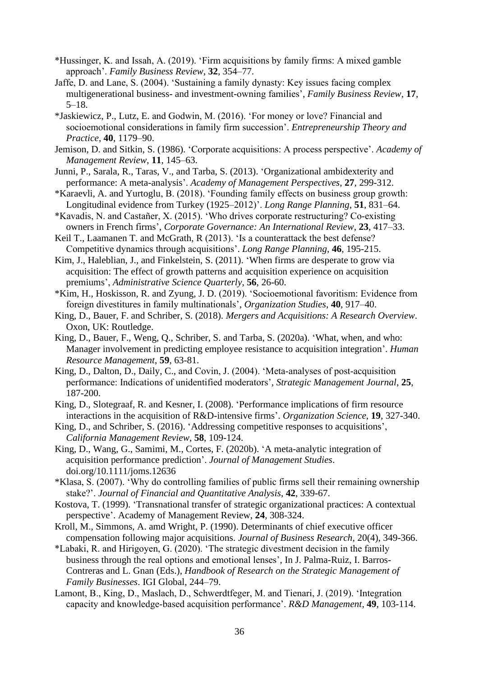- \*Hussinger, K. and Issah, A. (2019). 'Firm acquisitions by family firms: A mixed gamble approach'. *Family Business Review*, **32**, 354–77.
- Jaffe, D. and Lane, S. (2004). 'Sustaining a family dynasty: Key issues facing complex multigenerational business- and investment-owning families', *Family Business Review*, **17**, 5–18.
- \*Jaskiewicz, P., Lutz, E. and Godwin, M. (2016). 'For money or love? Financial and socioemotional considerations in family firm succession'. *Entrepreneurship Theory and Practice*, **40**, 1179–90.
- Jemison, D. and Sitkin, S. (1986). 'Corporate acquisitions: A process perspective'. *Academy of Management Review*, **11**, 145–63.
- Junni, P., Sarala, R., Taras, V., and Tarba, S. (2013). 'Organizational ambidexterity and performance: A meta-analysis'. *Academy of Management Perspectives*, **27**, 299-312.
- \*Karaevli, A. and Yurtoglu, B. (2018). 'Founding family effects on business group growth: Longitudinal evidence from Turkey (1925–2012)'. *Long Range Planning*, **51**, 831–64.
- \*Kavadis, N. and Castañer, X. (2015). 'Who drives corporate restructuring? Co‐existing owners in French firms', *Corporate Governance: An International Review*, **23**, 417–33.
- Keil T., Laamanen T. and McGrath, R (2013). 'Is a counterattack the best defense? Competitive dynamics through acquisitions'. *Long Range Planning*, **46**, 195-215.
- Kim, J., Haleblian, J., and Finkelstein, S. (2011). 'When firms are desperate to grow via acquisition: The effect of growth patterns and acquisition experience on acquisition premiums', *Administrative Science Quarterly*, **56**, 26-60.
- \*Kim, H., Hoskisson, R. and Zyung, J. D. (2019). 'Socioemotional favoritism: Evidence from foreign divestitures in family multinationals', *Organization Studies*, **40**, 917–40.
- King, D., Bauer, F. and Schriber, S. (2018). *Mergers and Acquisitions: A Research Overview*. Oxon, UK: Routledge.
- King, D., Bauer, F., Weng, Q., Schriber, S. and Tarba, S. (2020a). 'What, when, and who: Manager involvement in predicting employee resistance to acquisition integration'. *Human Resource Management*, **59**, 63-81.
- King, D., Dalton, D., Daily, C., and Covin, J. (2004). 'Meta-analyses of post-acquisition performance: Indications of unidentified moderators', *Strategic Management Journal*, **25**, 187-200.
- King, D., Slotegraaf, R. and Kesner, I. (2008). 'Performance implications of firm resource interactions in the acquisition of R&D-intensive firms'. *Organization Science*, **19**, 327-340.
- King, D., and Schriber, S. (2016). 'Addressing competitive responses to acquisitions', *California Management Review*, **58**, 109-124.
- King, D., Wang, G., Samimi, M., Cortes, F. (2020b). 'A meta-analytic integration of acquisition performance prediction'. *Journal of Management Studies*. doi.org/10.1111/joms.12636
- \*Klasa, S. (2007). 'Why do controlling families of public firms sell their remaining ownership stake?'. *Journal of Financial and Quantitative Analysis*, **42**, 339-67.
- Kostova, T. (1999). 'Transnational transfer of strategic organizational practices: A contextual perspective'. Academy of Management Review, **24**, 308-324.
- Kroll, M., Simmons, A. amd Wright, P. (1990). Determinants of chief executive officer compensation following major acquisitions. *Journal of Business Research*, 20(4), 349-366.
- \*Labaki, R. and Hirigoyen, G. (2020). 'The strategic divestment decision in the family business through the real options and emotional lenses', In J. Palma-Ruiz, I. Barros-Contreras and L. Gnan (Eds.), *Handbook of Research on the Strategic Management of Family Businesses*. IGI Global, 244–79.
- Lamont, B., King, D., Maslach, D., Schwerdtfeger, M. and Tienari, J. (2019). 'Integration capacity and knowledge‐based acquisition performance'. *R&D Management*, **49**, 103-114.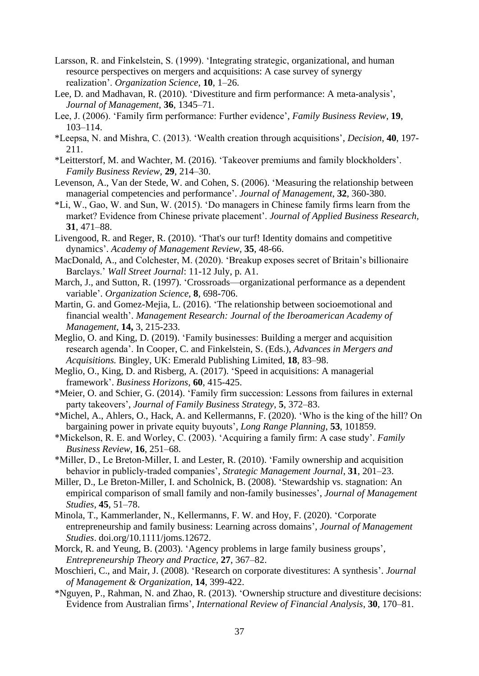- Larsson, R. and Finkelstein, S. (1999). 'Integrating strategic, organizational, and human resource perspectives on mergers and acquisitions: A case survey of synergy realization'. *Organization Science*, **10**, 1–26.
- Lee, D. and Madhavan, R. (2010). 'Divestiture and firm performance: A meta-analysis', *Journal of Management*, **36**, 1345–71.
- Lee, J. (2006). 'Family firm performance: Further evidence', *Family Business Review*, **19**, 103–114.
- \*Leepsa, N. and Mishra, C. (2013). 'Wealth creation through acquisitions', *Decision*, **40**, 197- 211.
- \*Leitterstorf, M. and Wachter, M. (2016). 'Takeover premiums and family blockholders'. *Family Business Review*, **29**, 214–30.
- Levenson, A., Van der Stede, W. and Cohen, S. (2006). 'Measuring the relationship between managerial competencies and performance'. *Journal of Management*, **32**, 360-380.
- \*Li, W., Gao, W. and Sun, W. (2015). 'Do managers in Chinese family firms learn from the market? Evidence from Chinese private placement'. *Journal of Applied Business Research,*  **31**, 471–88.
- Livengood, R. and Reger, R. (2010). 'That's our turf! Identity domains and competitive dynamics'. *Academy of Management Review*, **35**, 48-66.
- MacDonald, A., and Colchester, M. (2020). 'Breakup exposes secret of Britain's billionaire Barclays.' *Wall Street Journal*: 11-12 July, p. A1.
- March, J., and Sutton, R. (1997). 'Crossroads—organizational performance as a dependent variable'. *Organization Science*, **8**, 698-706.
- Martin, G. and Gomez-Mejia, L. (2016). 'The relationship between socioemotional and financial wealth'. *Management Research: Journal of the Iberoamerican Academy of Management*, **14,** 3, 215-233.
- Meglio, O. and King, D. (2019). 'Family businesses: Building a merger and acquisition research agenda'. In Cooper, C. and Finkelstein, S. (Eds.), *Advances in Mergers and Acquisitions.* Bingley, UK: Emerald Publishing Limited, **18**, 83–98.
- Meglio, O., King, D. and Risberg, A. (2017). 'Speed in acquisitions: A managerial framework'. *Business Horizons*, **60**, 415-425.
- \*Meier, O. and Schier, G. (2014). 'Family firm succession: Lessons from failures in external party takeovers', *Journal of Family Business Strategy*, **5**, 372–83.
- \*Michel, A., Ahlers, O., Hack, A. and Kellermanns, F. (2020). 'Who is the king of the hill? On bargaining power in private equity buyouts', *Long Range Planning*, **53**, 101859.
- \*Mickelson, R. E. and Worley, C. (2003). 'Acquiring a family firm: A case study'. *Family Business Review*, **16**, 251–68.
- \*Miller, D., Le Breton‐Miller, I. and Lester, R. (2010). 'Family ownership and acquisition behavior in publicly‐traded companies', *Strategic Management Journal*, **31**, 201–23.
- Miller, D., Le Breton-Miller, I. and Scholnick, B. (2008). 'Stewardship vs. stagnation: An empirical comparison of small family and non-family businesses', *Journal of Management Studies*, **45**, 51–78.
- Minola, T., Kammerlander, N., Kellermanns, F. W. and Hoy, F. (2020). 'Corporate entrepreneurship and family business: Learning across domains', *Journal of Management Studies*. doi.org/10.1111/joms.12672.
- Morck, R. and Yeung, B. (2003). 'Agency problems in large family business groups', *Entrepreneurship Theory and Practice*, **27**, 367–82.
- Moschieri, C., and Mair, J. (2008). 'Research on corporate divestitures: A synthesis'. *Journal of Management & Organization*, **14**, 399-422.
- \*Nguyen, P., Rahman, N. and Zhao, R. (2013). 'Ownership structure and divestiture decisions: Evidence from Australian firms', *International Review of Financial Analysis*, **30**, 170–81.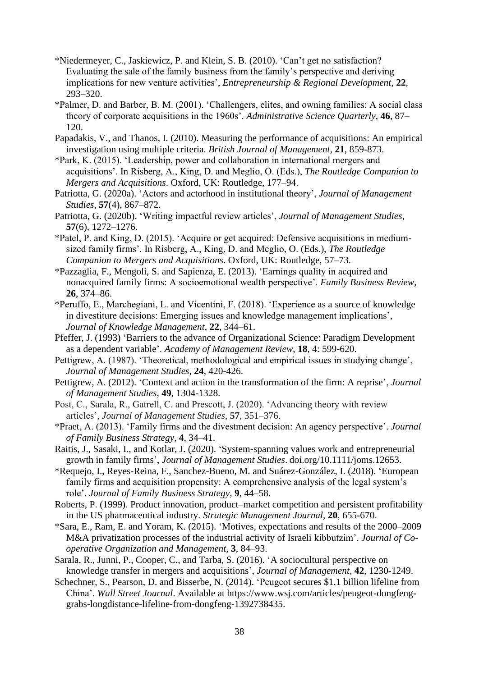- \*Niedermeyer, C., Jaskiewicz, P. and Klein, S. B. (2010). 'Can't get no satisfaction? Evaluating the sale of the family business from the family's perspective and deriving implications for new venture activities', *Entrepreneurship & Regional Development*, **22**, 293–320.
- \*Palmer, D. and Barber, B. M. (2001). 'Challengers, elites, and owning families: A social class theory of corporate acquisitions in the 1960s'. *Administrative Science Quarterly*, **46**, 87– 120.
- Papadakis, V., and Thanos, I. (2010). Measuring the performance of acquisitions: An empirical investigation using multiple criteria. *British Journal of Management*, **21**, 859-873.
- \*Park, K. (2015). 'Leadership, power and collaboration in international mergers and acquisitions'. In Risberg, A., King, D. and Meglio, O. (Eds.), *The Routledge Companion to Mergers and Acquisitions*. Oxford, UK: Routledge, 177–94.
- Patriotta, G. (2020a). 'Actors and actorhood in institutional theory', *Journal of Management Studies*, **57**(4), 867–872.
- Patriotta, G. (2020b). 'Writing impactful review articles', *Journal of Management Studies*, **57**(6), 1272–1276.
- \*Patel, P. and King, D. (2015). 'Acquire or get acquired: Defensive acquisitions in mediumsized family firms'. In Risberg, A., King, D. and Meglio, O. (Eds.), *The Routledge Companion to Mergers and Acquisitions*. Oxford, UK: Routledge, 57–73.
- \*Pazzaglia, F., Mengoli, S. and Sapienza, E. (2013). 'Earnings quality in acquired and nonacquired family firms: A socioemotional wealth perspective'. *Family Business Review*, **26**, 374–86.
- \*Peruffo, E., Marchegiani, L. and Vicentini, F. (2018). 'Experience as a source of knowledge in divestiture decisions: Emerging issues and knowledge management implications', *Journal of Knowledge Management*, **22**, 344–61.
- Pfeffer, J. (1993) 'Barriers to the advance of Organizational Science: Paradigm Development as a dependent variable'. *Academy of Management Review*, **18**, 4: 599-620.
- Pettigrew, A. (1987). 'Theoretical, methodological and empirical issues in studying change', *Journal of Management Studies*, **24**, 420-426.
- Pettigrew, A. (2012). 'Context and action in the transformation of the firm: A reprise', *Journal of Management Studies*, **49**, 1304-1328.
- Post, C., Sarala, R., Gatrell, C. and Prescott, J. (2020). 'Advancing theory with review articles', *Journal of Management Studies*, **57**, 351–376.
- \*Praet, A. (2013). 'Family firms and the divestment decision: An agency perspective'. *Journal of Family Business Strategy*, **4**, 34–41.
- Raitis, J., Sasaki, I., and Kotlar, J. (2020). 'System-spanning values work and entrepreneurial growth in family firms', *Journal of Management Studies*. doi.org/10.1111/joms.12653.
- \*Requejo, I., Reyes-Reina, F., Sanchez-Bueno, M. and Suárez-González, I. (2018). 'European family firms and acquisition propensity: A comprehensive analysis of the legal system's role'. *Journal of Family Business Strategy*, **9**, 44–58.
- Roberts, P. (1999). Product innovation, product–market competition and persistent profitability in the US pharmaceutical industry. *Strategic Management Journal*, **20**, 655-670.
- \*Sara, E., Ram, E. and Yoram, K. (2015). 'Motives, expectations and results of the 2000–2009 M&A privatization processes of the industrial activity of Israeli kibbutzim'. *Journal of Cooperative Organization and Management,* **3**, 84–93.
- Sarala, R., Junni, P., Cooper, C., and Tarba, S. (2016). 'A sociocultural perspective on knowledge transfer in mergers and acquisitions', *Journal of Management*, **42**, 1230-1249.
- Schechner, S., Pearson, D. and Bisserbe, N. (2014). 'Peugeot secures \$1.1 billion lifeline from China'. *Wall Street Journal*. Available at https://www.wsj.com/articles/peugeot-dongfenggrabs-longdistance-lifeline-from-dongfeng-1392738435.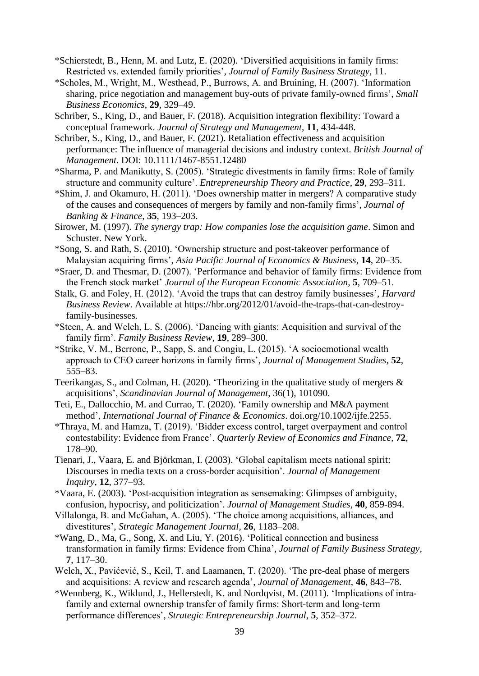- \*Schierstedt, B., Henn, M. and Lutz, E. (2020). 'Diversified acquisitions in family firms: Restricted vs. extended family priorities', *Journal of Family Business Strategy*, 11.
- \*Scholes, M., Wright, M., Westhead, P., Burrows, A. and Bruining, H. (2007). 'Information sharing, price negotiation and management buy-outs of private family-owned firms', *Small Business Economics*, **29**, 329–49.
- Schriber, S., King, D., and Bauer, F. (2018). Acquisition integration flexibility: Toward a conceptual framework. *Journal of Strategy and Management*, **11**, 434-448.
- Schriber, S., King, D., and Bauer, F. (2021). Retaliation effectiveness and acquisition performance: The influence of managerial decisions and industry context. *British Journal of Management*. DOI: 10.1111/1467-8551.12480
- \*Sharma, P. and Manikutty, S. (2005). 'Strategic divestments in family firms: Role of family structure and community culture'. *Entrepreneurship Theory and Practice*, **29**, 293–311.
- \*Shim, J. and Okamuro, H. (2011). 'Does ownership matter in mergers? A comparative study of the causes and consequences of mergers by family and non-family firms', *Journal of Banking & Finance*, **35**, 193–203.
- Sirower, M. (1997). *The synergy trap: How companies lose the acquisition game*. Simon and Schuster. New York.
- \*Song, S. and Rath, S. (2010). 'Ownership structure and post-takeover performance of Malaysian acquiring firms', *Asia Pacific Journal of Economics & Business*, **14**, 20–35.
- \*Sraer, D. and Thesmar, D. (2007). 'Performance and behavior of family firms: Evidence from the French stock market' *Journal of the European Economic Association*, **5**, 709–51.
- Stalk, G. and Foley, H. (2012). 'Avoid the traps that can destroy family businesses', *Harvard Business Review*. Available at https://hbr.org/2012/01/avoid-the-traps-that-can-destroyfamily-businesses.
- \*Steen, A. and Welch, L. S. (2006). 'Dancing with giants: Acquisition and survival of the family firm'. *Family Business Review*, **19**, 289–300.
- \*Strike, V. M., Berrone, P., Sapp, S. and Congiu, L. (2015). 'A socioemotional wealth approach to CEO career horizons in family firms', *Journal of Management Studies*, **52**, 555–83.
- Teerikangas, S., and Colman, H. (2020). 'Theorizing in the qualitative study of mergers & acquisitions', *Scandinavian Journal of Management*, 36(1), 101090.
- Teti, E., Dallocchio, M. and Currao, T. (2020). 'Family ownership and M&A payment method', *International Journal of Finance & Economics*. doi.org/10.1002/ijfe.2255.
- \*Thraya, M. and Hamza, T. (2019). 'Bidder excess control, target overpayment and control contestability: Evidence from France'. *Quarterly Review of Economics and Finance,* **72**, 178–90.
- Tienari, J., Vaara, E. and Björkman, I. (2003). 'Global capitalism meets national spirit: Discourses in media texts on a cross-border acquisition'. *Journal of Management Inquiry*, **12**, 377–93.
- \*Vaara, E. (2003). 'Post‐acquisition integration as sensemaking: Glimpses of ambiguity, confusion, hypocrisy, and politicization'. *Journal of Management Studies*, **40**, 859-894.
- Villalonga, B. and McGahan, A. (2005). 'The choice among acquisitions, alliances, and divestitures', *Strategic Management Journal,* **26**, 1183–208.
- \*Wang, D., Ma, G., Song, X. and Liu, Y. (2016). 'Political connection and business transformation in family firms: Evidence from China', *Journal of Family Business Strategy*, **7**, 117–30.
- Welch, X., Pavićević, S., Keil, T. and Laamanen, T. (2020). 'The pre-deal phase of mergers and acquisitions: A review and research agenda', *Journal of Management*, **46**, 843–78.
- \*Wennberg, K., Wiklund, J., Hellerstedt, K. and Nordqvist, M. (2011). 'Implications of intra‐ family and external ownership transfer of family firms: Short-term and long-term performance differences', *Strategic Entrepreneurship Journal*, **5**, 352–372.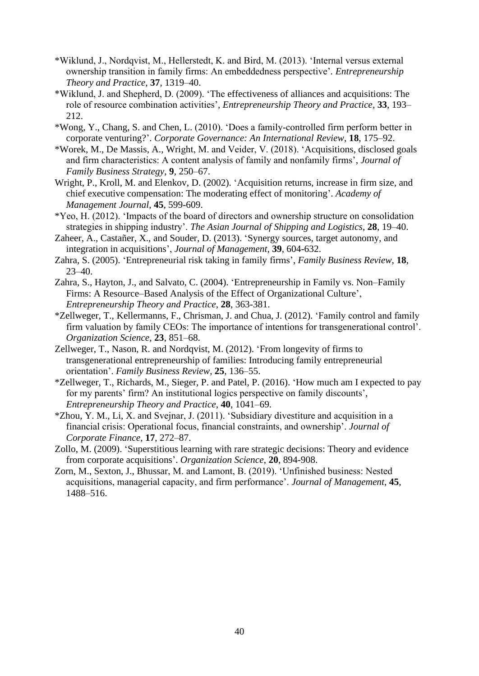- \*Wiklund, J., Nordqvist, M., Hellerstedt, K. and Bird, M. (2013). 'Internal versus external ownership transition in family firms: An embeddedness perspective'*. Entrepreneurship Theory and Practice*, **37**, 1319–40.
- \*Wiklund, J. and Shepherd, D. (2009). 'The effectiveness of alliances and acquisitions: The role of resource combination activities', *Entrepreneurship Theory and Practice*, **33**, 193– 212.
- \*Wong, Y., Chang, S. and Chen, L. (2010). 'Does a family‐controlled firm perform better in corporate venturing?'. *Corporate Governance: An International Review*, **18**, 175–92.
- \*Worek, M., De Massis, A., Wright, M. and Veider, V. (2018). 'Acquisitions, disclosed goals and firm characteristics: A content analysis of family and nonfamily firms', *Journal of Family Business Strategy*, **9**, 250–67.
- Wright, P., Kroll, M. and Elenkov, D. (2002). 'Acquisition returns, increase in firm size, and chief executive compensation: The moderating effect of monitoring'. *Academy of Management Journal*, **45**, 599-609.
- \*Yeo, H. (2012). 'Impacts of the board of directors and ownership structure on consolidation strategies in shipping industry'. *The Asian Journal of Shipping and Logistics*, **28**, 19–40.
- Zaheer, A., Castañer, X., and Souder, D. (2013). 'Synergy sources, target autonomy, and integration in acquisitions', *Journal of Management*, **39**, 604-632.
- Zahra, S. (2005). 'Entrepreneurial risk taking in family firms', *Family Business Review*, **18**, 23–40.
- Zahra, S., Hayton, J., and Salvato, C. (2004). 'Entrepreneurship in Family vs. Non–Family Firms: A Resource–Based Analysis of the Effect of Organizational Culture', *Entrepreneurship Theory and Practice*, **28**, 363-381.
- \*Zellweger, T., Kellermanns, F., Chrisman, J. and Chua, J. (2012). 'Family control and family firm valuation by family CEOs: The importance of intentions for transgenerational control'. *Organization Science*, **23**, 851–68.
- Zellweger, T., Nason, R. and Nordqvist, M. (2012). 'From longevity of firms to transgenerational entrepreneurship of families: Introducing family entrepreneurial orientation'. *Family Business Review*, **25**, 136–55.
- \*Zellweger, T., Richards, M., Sieger, P. and Patel, P. (2016). 'How much am I expected to pay for my parents' firm? An institutional logics perspective on family discounts', *Entrepreneurship Theory and Practice*, **40**, 1041–69.
- \*Zhou, Y. M., Li, X. and Svejnar, J. (2011). 'Subsidiary divestiture and acquisition in a financial crisis: Operational focus, financial constraints, and ownership'. *Journal of Corporate Finance*, **17**, 272–87.
- Zollo, M. (2009). 'Superstitious learning with rare strategic decisions: Theory and evidence from corporate acquisitions'. *Organization Science*, **20**, 894-908.
- Zorn, M., Sexton, J., Bhussar, M. and Lamont, B. (2019). 'Unfinished business: Nested acquisitions, managerial capacity, and firm performance'. *Journal of Management*, **45**, 1488–516.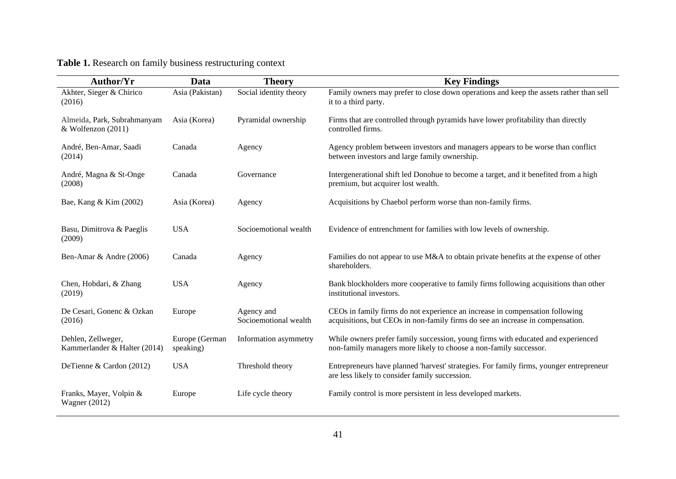# **Table 1.** Research on family business restructuring context

| Author/Yr                                           | Data                        | <b>Theory</b>                       | <b>Key Findings</b>                                                                                                                                            |
|-----------------------------------------------------|-----------------------------|-------------------------------------|----------------------------------------------------------------------------------------------------------------------------------------------------------------|
| Akhter, Sieger & Chirico<br>(2016)                  | Asia (Pakistan)             | Social identity theory              | Family owners may prefer to close down operations and keep the assets rather than sell<br>it to a third party.                                                 |
| Almeida, Park, Subrahmanyam<br>& Wolfenzon $(2011)$ | Asia (Korea)                | Pyramidal ownership                 | Firms that are controlled through pyramids have lower profitability than directly<br>controlled firms.                                                         |
| André, Ben-Amar, Saadi<br>(2014)                    | Canada                      | Agency                              | Agency problem between investors and managers appears to be worse than conflict<br>between investors and large family ownership.                               |
| André, Magna & St-Onge<br>(2008)                    | Canada                      | Governance                          | Intergenerational shift led Donohue to become a target, and it benefited from a high<br>premium, but acquirer lost wealth.                                     |
| Bae, Kang & Kim (2002)                              | Asia (Korea)                | Agency                              | Acquisitions by Chaebol perform worse than non-family firms.                                                                                                   |
| Basu, Dimitrova & Paeglis<br>(2009)                 | <b>USA</b>                  | Socioemotional wealth               | Evidence of entrenchment for families with low levels of ownership.                                                                                            |
| Ben-Amar & Andre (2006)                             | Canada                      | Agency                              | Families do not appear to use M&A to obtain private benefits at the expense of other<br>shareholders.                                                          |
| Chen, Hobdari, & Zhang<br>(2019)                    | <b>USA</b>                  | Agency                              | Bank blockholders more cooperative to family firms following acquisitions than other<br>institutional investors.                                               |
| De Cesari, Gonenc & Ozkan<br>(2016)                 | Europe                      | Agency and<br>Socioemotional wealth | CEOs in family firms do not experience an increase in compensation following<br>acquisitions, but CEOs in non-family firms do see an increase in compensation. |
| Dehlen, Zellweger,<br>Kammerlander & Halter (2014)  | Europe (German<br>speaking) | Information asymmetry               | While owners prefer family succession, young firms with educated and experienced<br>non-family managers more likely to choose a non-family successor.          |
| DeTienne & Cardon (2012)                            | <b>USA</b>                  | Threshold theory                    | Entrepreneurs have planned 'harvest' strategies. For family firms, younger entrepreneur<br>are less likely to consider family succession.                      |
| Franks, Mayer, Volpin &<br><b>Wagner</b> (2012)     | Europe                      | Life cycle theory                   | Family control is more persistent in less developed markets.                                                                                                   |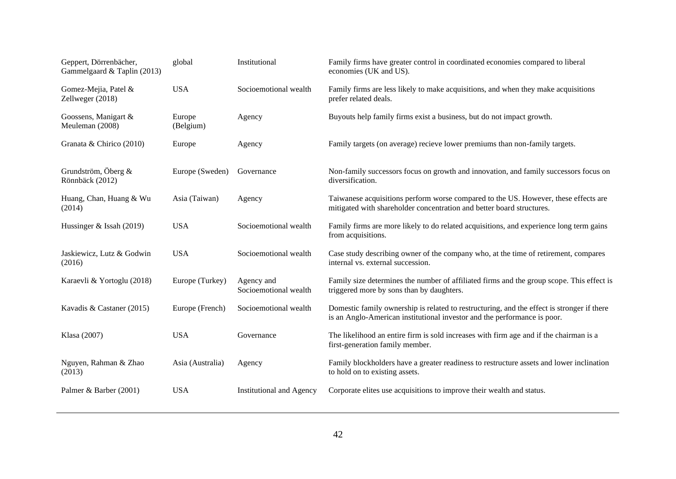| Geppert, Dörrenbächer,<br>Gammelgaard & Taplin (2013) | global              | Institutional                       | Family firms have greater control in coordinated economies compared to liberal<br>economies (UK and US).                                                               |
|-------------------------------------------------------|---------------------|-------------------------------------|------------------------------------------------------------------------------------------------------------------------------------------------------------------------|
| Gomez-Mejia, Patel &<br>Zellweger (2018)              | <b>USA</b>          | Socioemotional wealth               | Family firms are less likely to make acquisitions, and when they make acquisitions<br>prefer related deals.                                                            |
| Goossens, Manigart &<br>Meuleman (2008)               | Europe<br>(Belgium) | Agency                              | Buyouts help family firms exist a business, but do not impact growth.                                                                                                  |
| Granata & Chirico (2010)                              | Europe              | Agency                              | Family targets (on average) recieve lower premiums than non-family targets.                                                                                            |
| Grundström, Öberg $\&$<br>Rönnbäck (2012)             | Europe (Sweden)     | Governance                          | Non-family successors focus on growth and innovation, and family successors focus on<br>diversification.                                                               |
| Huang, Chan, Huang & Wu<br>(2014)                     | Asia (Taiwan)       | Agency                              | Taiwanese acquisitions perform worse compared to the US. However, these effects are<br>mitigated with shareholder concentration and better board structures.           |
| Hussinger & Issah (2019)                              | <b>USA</b>          | Socioemotional wealth               | Family firms are more likely to do related acquisitions, and experience long term gains<br>from acquisitions.                                                          |
| Jaskiewicz, Lutz & Godwin<br>(2016)                   | <b>USA</b>          | Socioemotional wealth               | Case study describing owner of the company who, at the time of retirement, compares<br>internal vs. external succession.                                               |
| Karaevli & Yortoglu (2018)                            | Europe (Turkey)     | Agency and<br>Socioemotional wealth | Family size determines the number of affiliated firms and the group scope. This effect is<br>triggered more by sons than by daughters.                                 |
| Kavadis & Castaner (2015)                             | Europe (French)     | Socioemotional wealth               | Domestic family ownership is related to restructuring, and the effect is stronger if there<br>is an Anglo-American institutional investor and the performance is poor. |
| Klasa (2007)                                          | <b>USA</b>          | Governance                          | The likelihood an entire firm is sold increases with firm age and if the chairman is a<br>first-generation family member.                                              |
| Nguyen, Rahman & Zhao<br>(2013)                       | Asia (Australia)    | Agency                              | Family blockholders have a greater readiness to restructure assets and lower inclination<br>to hold on to existing assets.                                             |
| Palmer & Barber (2001)                                | <b>USA</b>          | <b>Institutional and Agency</b>     | Corporate elites use acquisitions to improve their wealth and status.                                                                                                  |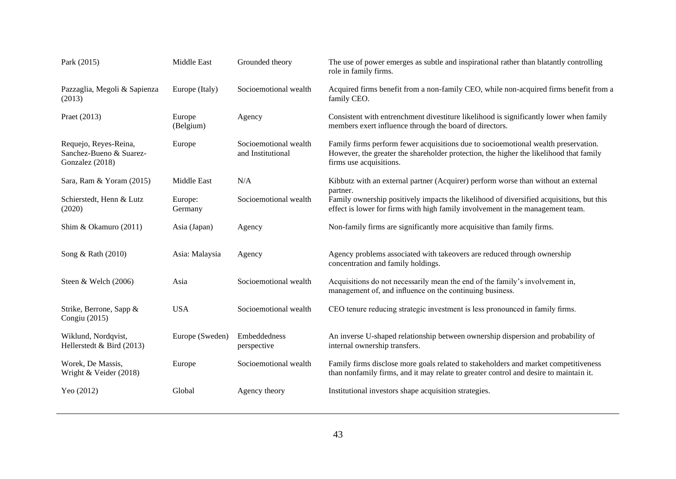| Park (2015)                                                         | Middle East         | Grounded theory                            | The use of power emerges as subtle and inspirational rather than blatantly controlling<br>role in family firms.                                                                                         |
|---------------------------------------------------------------------|---------------------|--------------------------------------------|---------------------------------------------------------------------------------------------------------------------------------------------------------------------------------------------------------|
| Pazzaglia, Megoli & Sapienza<br>(2013)                              | Europe (Italy)      | Socioemotional wealth                      | Acquired firms benefit from a non-family CEO, while non-acquired firms benefit from a<br>family CEO.                                                                                                    |
| Praet (2013)                                                        | Europe<br>(Belgium) | Agency                                     | Consistent with entrenchment divestiture likelihood is significantly lower when family<br>members exert influence through the board of directors.                                                       |
| Requejo, Reyes-Reina,<br>Sanchez-Bueno & Suarez-<br>Gonzalez (2018) | Europe              | Socioemotional wealth<br>and Institutional | Family firms perform fewer acquisitions due to socioemotional wealth preservation.<br>However, the greater the shareholder protection, the higher the likelihood that family<br>firms use acquisitions. |
| Sara, Ram & Yoram (2015)                                            | Middle East         | N/A                                        | Kibbutz with an external partner (Acquirer) perform worse than without an external<br>partner.                                                                                                          |
| Schierstedt, Henn & Lutz<br>(2020)                                  | Europe:<br>Germany  | Socioemotional wealth                      | Family ownership positively impacts the likelihood of diversified acquisitions, but this<br>effect is lower for firms with high family involvement in the management team.                              |
| Shim & Okamuro (2011)                                               | Asia (Japan)        | Agency                                     | Non-family firms are significantly more acquisitive than family firms.                                                                                                                                  |
| Song & Rath (2010)                                                  | Asia: Malaysia      | Agency                                     | Agency problems associated with takeovers are reduced through ownership<br>concentration and family holdings.                                                                                           |
| Steen & Welch (2006)                                                | Asia                | Socioemotional wealth                      | Acquisitions do not necessarily mean the end of the family's involvement in,<br>management of, and influence on the continuing business.                                                                |
| Strike, Berrone, Sapp &<br>Congiu (2015)                            | <b>USA</b>          | Socioemotional wealth                      | CEO tenure reducing strategic investment is less pronounced in family firms.                                                                                                                            |
| Wiklund, Nordqvist,<br>Hellerstedt & Bird (2013)                    | Europe (Sweden)     | Embeddedness<br>perspective                | An inverse U-shaped relationship between ownership dispersion and probability of<br>internal ownership transfers.                                                                                       |
| Worek, De Massis,<br>Wright & Veider (2018)                         | Europe              | Socioemotional wealth                      | Family firms disclose more goals related to stakeholders and market competitiveness<br>than nonfamily firms, and it may relate to greater control and desire to maintain it.                            |
| Yeo (2012)                                                          | Global              | Agency theory                              | Institutional investors shape acquisition strategies.                                                                                                                                                   |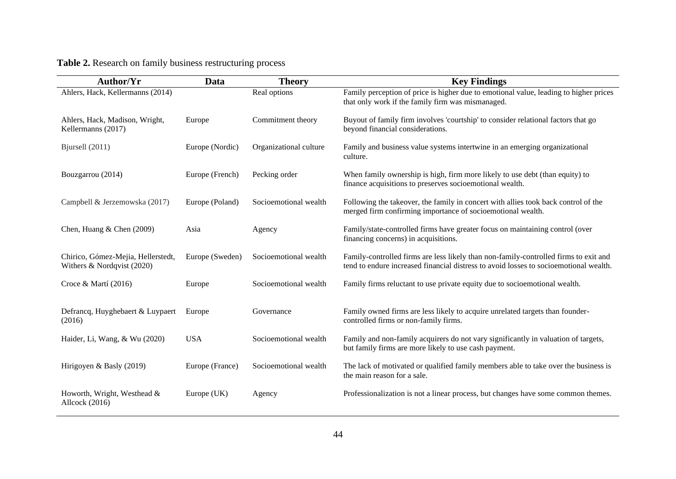# **Table 2.** Research on family business restructuring process

| Author/Yr                                                        | Data            | <b>Theory</b>          | <b>Key Findings</b>                                                                                                                                                           |
|------------------------------------------------------------------|-----------------|------------------------|-------------------------------------------------------------------------------------------------------------------------------------------------------------------------------|
| Ahlers, Hack, Kellermanns (2014)                                 |                 | Real options           | Family perception of price is higher due to emotional value, leading to higher prices<br>that only work if the family firm was mismanaged.                                    |
| Ahlers, Hack, Madison, Wright,<br>Kellermanns (2017)             | Europe          | Commitment theory      | Buyout of family firm involves 'courtship' to consider relational factors that go<br>beyond financial considerations.                                                         |
| Bjursell (2011)                                                  | Europe (Nordic) | Organizational culture | Family and business value systems intertwine in an emerging organizational<br>culture.                                                                                        |
| Bouzgarrou (2014)                                                | Europe (French) | Pecking order          | When family ownership is high, firm more likely to use debt (than equity) to<br>finance acquisitions to preserves socioemotional wealth.                                      |
| Campbell & Jerzemowska (2017)                                    | Europe (Poland) | Socioemotional wealth  | Following the takeover, the family in concert with allies took back control of the<br>merged firm confirming importance of socioemotional wealth.                             |
| Chen, Huang & Chen $(2009)$                                      | Asia            | Agency                 | Family/state-controlled firms have greater focus on maintaining control (over<br>financing concerns) in acquisitions.                                                         |
| Chirico, Gómez-Mejia, Hellerstedt,<br>Withers & Nordqvist (2020) | Europe (Sweden) | Socioemotional wealth  | Family-controlled firms are less likely than non-family-controlled firms to exit and<br>tend to endure increased financial distress to avoid losses to socioemotional wealth. |
| Croce & Martí (2016)                                             | Europe          | Socioemotional wealth  | Family firms reluctant to use private equity due to socioemotional wealth.                                                                                                    |
| Defrancq, Huyghebaert & Luypaert<br>(2016)                       | Europe          | Governance             | Family owned firms are less likely to acquire unrelated targets than founder-<br>controlled firms or non-family firms.                                                        |
| Haider, Li, Wang, & Wu (2020)                                    | <b>USA</b>      | Socioemotional wealth  | Family and non-family acquirers do not vary significantly in valuation of targets,<br>but family firms are more likely to use cash payment.                                   |
| Hirigoyen & Basly (2019)                                         | Europe (France) | Socioemotional wealth  | The lack of motivated or qualified family members able to take over the business is<br>the main reason for a sale.                                                            |
| Howorth, Wright, Westhead &<br>Allcock (2016)                    | Europe (UK)     | Agency                 | Professionalization is not a linear process, but changes have some common themes.                                                                                             |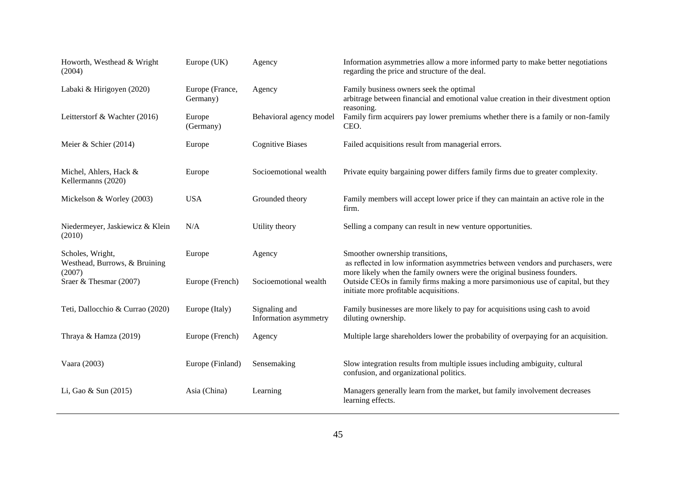| Howorth, Westhead & Wright<br>(2004)                        | Europe (UK)                 | Agency                                 | Information asymmetries allow a more informed party to make better negotiations<br>regarding the price and structure of the deal.                                                              |
|-------------------------------------------------------------|-----------------------------|----------------------------------------|------------------------------------------------------------------------------------------------------------------------------------------------------------------------------------------------|
| Labaki & Hirigoyen (2020)                                   | Europe (France,<br>Germany) | Agency                                 | Family business owners seek the optimal<br>arbitrage between financial and emotional value creation in their divestment option<br>reasoning.                                                   |
| Leitterstorf & Wachter (2016)                               | Europe<br>(Germany)         | Behavioral agency model                | Family firm acquirers pay lower premiums whether there is a family or non-family<br>CEO.                                                                                                       |
| Meier & Schier (2014)                                       | Europe                      | <b>Cognitive Biases</b>                | Failed acquisitions result from managerial errors.                                                                                                                                             |
| Michel, Ahlers, Hack &<br>Kellermanns (2020)                | Europe                      | Socioemotional wealth                  | Private equity bargaining power differs family firms due to greater complexity.                                                                                                                |
| Mickelson & Worley (2003)                                   | <b>USA</b>                  | Grounded theory                        | Family members will accept lower price if they can maintain an active role in the<br>firm.                                                                                                     |
| Niedermeyer, Jaskiewicz & Klein<br>(2010)                   | N/A                         | Utility theory                         | Selling a company can result in new venture opportunities.                                                                                                                                     |
| Scholes, Wright,<br>Westhead, Burrows, & Bruining<br>(2007) | Europe                      | Agency                                 | Smoother ownership transitions,<br>as reflected in low information asymmetries between vendors and purchasers, were<br>more likely when the family owners were the original business founders. |
| Sraer & Thesmar (2007)                                      | Europe (French)             | Socioemotional wealth                  | Outside CEOs in family firms making a more parsimonious use of capital, but they<br>initiate more profitable acquisitions.                                                                     |
| Teti, Dallocchio & Currao (2020)                            | Europe (Italy)              | Signaling and<br>Information asymmetry | Family businesses are more likely to pay for acquisitions using cash to avoid<br>diluting ownership.                                                                                           |
| Thraya & Hamza (2019)                                       | Europe (French)             | Agency                                 | Multiple large shareholders lower the probability of overpaying for an acquisition.                                                                                                            |
| Vaara (2003)                                                | Europe (Finland)            | Sensemaking                            | Slow integration results from multiple issues including ambiguity, cultural<br>confusion, and organizational politics.                                                                         |
| Li, Gao & Sun (2015)                                        | Asia (China)                | Learning                               | Managers generally learn from the market, but family involvement decreases<br>learning effects.                                                                                                |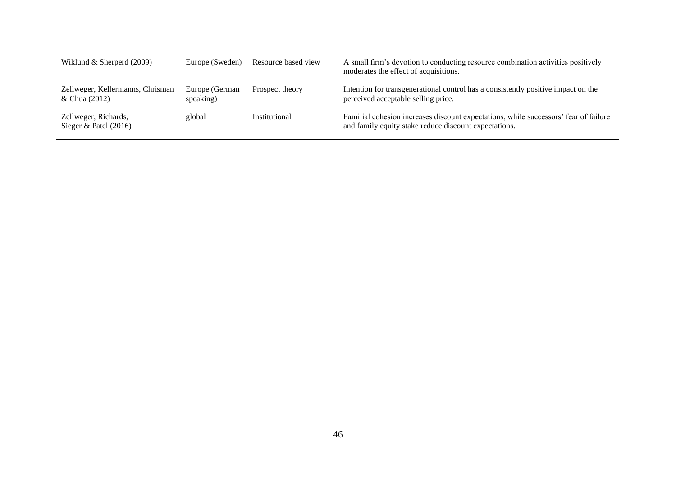| Wiklund $&$ Sherperd (2009)                       | Europe (Sweden)              | Resource based view | A small firm's devotion to conducting resource combination activities positively<br>moderates the effect of acquisitions.                     |
|---------------------------------------------------|------------------------------|---------------------|-----------------------------------------------------------------------------------------------------------------------------------------------|
| Zellweger, Kellermanns, Chrisman<br>& Chua (2012) | Europe (German)<br>speaking) | Prospect theory     | Intention for transgenerational control has a consistently positive impact on the<br>perceived acceptable selling price.                      |
| Zellweger, Richards,<br>Sieger & Patel $(2016)$   | global                       | Institutional       | Familial cohesion increases discount expectations, while successors' fear of failure<br>and family equity stake reduce discount expectations. |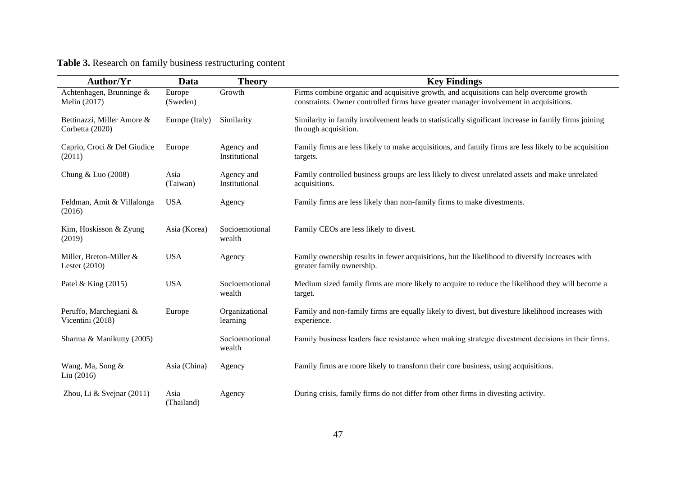# **Table 3.** Research on family business restructuring content

| Author/Yr                                     | Data               | <b>Theory</b>               | <b>Key Findings</b>                                                                                                                                                              |
|-----------------------------------------------|--------------------|-----------------------------|----------------------------------------------------------------------------------------------------------------------------------------------------------------------------------|
| Achtenhagen, Brunninge &<br>Melin (2017)      | Europe<br>(Sweden) | Growth                      | Firms combine organic and acquisitive growth, and acquisitions can help overcome growth<br>constraints. Owner controlled firms have greater manager involvement in acquisitions. |
| Bettinazzi, Miller Amore &<br>Corbetta (2020) | Europe (Italy)     | Similarity                  | Similarity in family involvement leads to statistically significant increase in family firms joining<br>through acquisition.                                                     |
| Caprio, Croci & Del Giudice<br>(2011)         | Europe             | Agency and<br>Institutional | Family firms are less likely to make acquisitions, and family firms are less likely to be acquisition<br>targets.                                                                |
| Chung & Luo (2008)                            | Asia<br>(Taiwan)   | Agency and<br>Institutional | Family controlled business groups are less likely to divest unrelated assets and make unrelated<br>acquisitions.                                                                 |
| Feldman, Amit & Villalonga<br>(2016)          | <b>USA</b>         | Agency                      | Family firms are less likely than non-family firms to make divestments.                                                                                                          |
| Kim, Hoskisson & Zyung<br>(2019)              | Asia (Korea)       | Socioemotional<br>wealth    | Family CEOs are less likely to divest.                                                                                                                                           |
| Miller, Breton-Miller &<br>Lester $(2010)$    | <b>USA</b>         | Agency                      | Family ownership results in fewer acquisitions, but the likelihood to diversify increases with<br>greater family ownership.                                                      |
| Patel & King $(2015)$                         | <b>USA</b>         | Socioemotional<br>wealth    | Medium sized family firms are more likely to acquire to reduce the likelihood they will become a<br>target.                                                                      |
| Peruffo, Marchegiani &<br>Vicentini (2018)    | Europe             | Organizational<br>learning  | Family and non-family firms are equally likely to divest, but divesture likelihood increases with<br>experience.                                                                 |
| Sharma & Manikutty (2005)                     |                    | Socioemotional<br>wealth    | Family business leaders face resistance when making strategic divestment decisions in their firms.                                                                               |
| Wang, Ma, Song &<br>Liu (2016)                | Asia (China)       | Agency                      | Family firms are more likely to transform their core business, using acquisitions.                                                                                               |
| Zhou, Li & Svejnar $(2011)$                   | Asia<br>(Thailand) | Agency                      | During crisis, family firms do not differ from other firms in divesting activity.                                                                                                |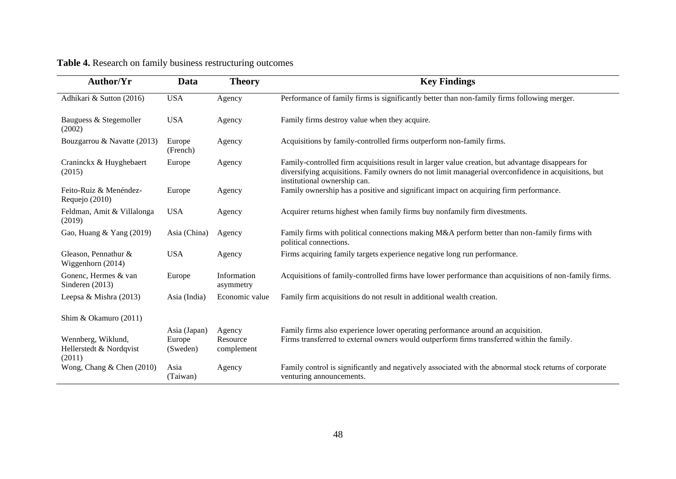| Author/Yr                                               | <b>Data</b>                        | <b>Theory</b>                    | <b>Key Findings</b>                                                                                                                                                                                                                       |
|---------------------------------------------------------|------------------------------------|----------------------------------|-------------------------------------------------------------------------------------------------------------------------------------------------------------------------------------------------------------------------------------------|
| Adhikari & Sutton (2016)                                | <b>USA</b>                         | Agency                           | Performance of family firms is significantly better than non-family firms following merger.                                                                                                                                               |
| Bauguess & Stegemoller<br>(2002)                        | <b>USA</b>                         | Agency                           | Family firms destroy value when they acquire.                                                                                                                                                                                             |
| Bouzgarrou & Navatte (2013)                             | Europe<br>(French)                 | Agency                           | Acquisitions by family-controlled firms outperform non-family firms.                                                                                                                                                                      |
| Craninckx & Huyghebaert<br>(2015)                       | Europe                             | Agency                           | Family-controlled firm acquisitions result in larger value creation, but advantage disappears for<br>diversifying acquisitions. Family owners do not limit managerial overconfidence in acquisitions, but<br>institutional ownership can. |
| Feito-Ruiz & Menéndez-<br>Requejo (2010)                | Europe                             | Agency                           | Family ownership has a positive and significant impact on acquiring firm performance.                                                                                                                                                     |
| Feldman, Amit & Villalonga<br>(2019)                    | <b>USA</b>                         | Agency                           | Acquirer returns highest when family firms buy nonfamily firm divestments.                                                                                                                                                                |
| Gao, Huang & Yang (2019)                                | Asia (China)                       | Agency                           | Family firms with political connections making M&A perform better than non-family firms with<br>political connections.                                                                                                                    |
| Gleason, Pennathur &<br>Wiggenhorn (2014)               | <b>USA</b>                         | Agency                           | Firms acquiring family targets experience negative long run performance.                                                                                                                                                                  |
| Gonenc, Hermes & van<br>Sinderen (2013)                 | Europe                             | Information<br>asymmetry         | Acquisitions of family-controlled firms have lower performance than acquisitions of non-family firms.                                                                                                                                     |
| Leepsa & Mishra (2013)                                  | Asia (India)                       | Economic value                   | Family firm acquisitions do not result in additional wealth creation.                                                                                                                                                                     |
| Shim & Okamuro (2011)                                   |                                    |                                  |                                                                                                                                                                                                                                           |
| Wennberg, Wiklund,<br>Hellerstedt & Nordqvist<br>(2011) | Asia (Japan)<br>Europe<br>(Sweden) | Agency<br>Resource<br>complement | Family firms also experience lower operating performance around an acquisition.<br>Firms transferred to external owners would outperform firms transferred within the family.                                                             |
| Wong, Chang & Chen (2010)                               | Asia<br>(Taiwan)                   | Agency                           | Family control is significantly and negatively associated with the abnormal stock returns of corporate<br>venturing announcements.                                                                                                        |

# **Table 4.** Research on family business restructuring outcomes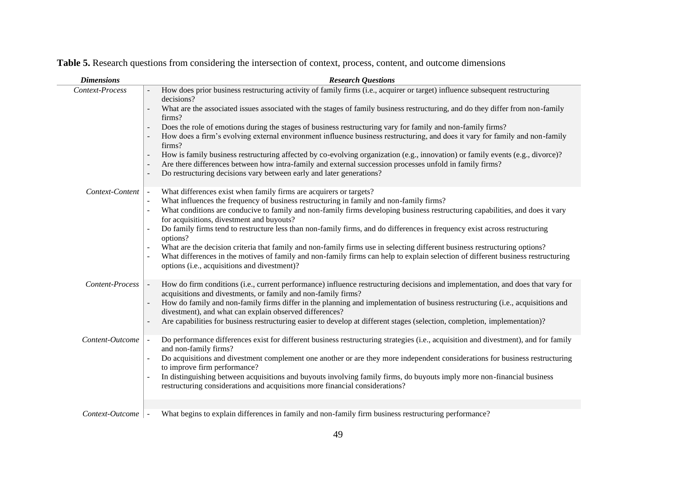| <b>Dimensions</b> | <b>Research Questions</b>                                                                                                                                                                                                                                                                                                                                                                                                                                                                                                                                                                                                                                                                                                                                                                                                                                                                                 |
|-------------------|-----------------------------------------------------------------------------------------------------------------------------------------------------------------------------------------------------------------------------------------------------------------------------------------------------------------------------------------------------------------------------------------------------------------------------------------------------------------------------------------------------------------------------------------------------------------------------------------------------------------------------------------------------------------------------------------------------------------------------------------------------------------------------------------------------------------------------------------------------------------------------------------------------------|
| Context-Process   | How does prior business restructuring activity of family firms (i.e., acquirer or target) influence subsequent restructuring<br>decisions?<br>What are the associated issues associated with the stages of family business restructuring, and do they differ from non-family<br>firms?<br>Does the role of emotions during the stages of business restructuring vary for family and non-family firms?<br>$\blacksquare$<br>How does a firm's evolving external environment influence business restructuring, and does it vary for family and non-family<br>firms?<br>How is family business restructuring affected by co-evolving organization (e.g., innovation) or family events (e.g., divorce)?<br>$\blacksquare$<br>Are there differences between how intra-family and external succession processes unfold in family firms?<br>Do restructuring decisions vary between early and later generations? |
| Context-Content   | What differences exist when family firms are acquirers or targets?<br>What influences the frequency of business restructuring in family and non-family firms?<br>What conditions are conducive to family and non-family firms developing business restructuring capabilities, and does it vary<br>for acquisitions, divestment and buyouts?<br>Do family firms tend to restructure less than non-family firms, and do differences in frequency exist across restructuring<br>options?<br>What are the decision criteria that family and non-family firms use in selecting different business restructuring options?<br>What differences in the motives of family and non-family firms can help to explain selection of different business restructuring<br>options (i.e., acquisitions and divestment)?                                                                                                   |
| Content-Process   | How do firm conditions (i.e., current performance) influence restructuring decisions and implementation, and does that vary for<br>acquisitions and divestments, or family and non-family firms?<br>How do family and non-family firms differ in the planning and implementation of business restructuring (i.e., acquisitions and<br>divestment), and what can explain observed differences?<br>Are capabilities for business restructuring easier to develop at different stages (selection, completion, implementation)?                                                                                                                                                                                                                                                                                                                                                                               |
| Content-Outcome   | Do performance differences exist for different business restructuring strategies (i.e., acquisition and divestment), and for family<br>and non-family firms?<br>Do acquisitions and divestment complement one another or are they more independent considerations for business restructuring<br>to improve firm performance?<br>In distinguishing between acquisitions and buyouts involving family firms, do buyouts imply more non-financial business<br>restructuring considerations and acquisitions more financial considerations?                                                                                                                                                                                                                                                                                                                                                                   |
|                   |                                                                                                                                                                                                                                                                                                                                                                                                                                                                                                                                                                                                                                                                                                                                                                                                                                                                                                           |
| Context-Outcome   | What begins to explain differences in family and non-family firm business restructuring performance?                                                                                                                                                                                                                                                                                                                                                                                                                                                                                                                                                                                                                                                                                                                                                                                                      |

**Table 5.** Research questions from considering the intersection of context, process, content, and outcome dimensions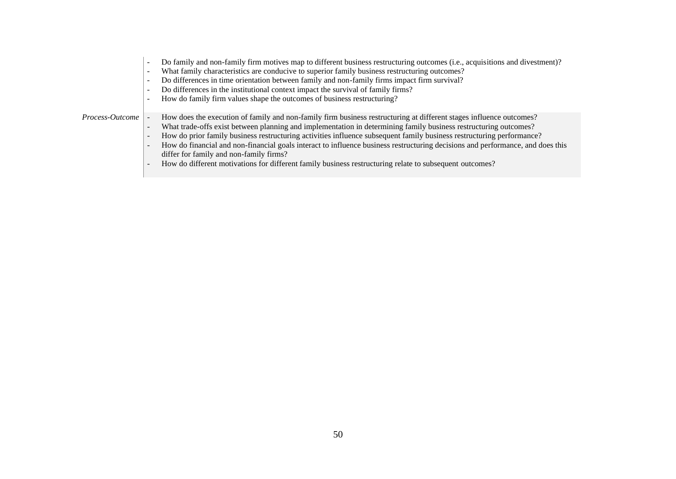- Do family and non-family firm motives map to different business restructuring outcomes (i.e., acquisitions and divestment)?
- What family characteristics are conducive to superior family business restructuring outcomes?
- Do differences in time orientation between family and non-family firms impact firm survival?
- Do differences in the institutional context impact the survival of family firms?
- How do family firm values shape the outcomes of business restructuring?

- *Process-Outcome*  $\vert$  How does the execution of family and non-family firm business restructuring at different stages influence outcomes?
	- What trade-offs exist between planning and implementation in determining family business restructuring outcomes?
	- How do prior family business restructuring activities influence subsequent family business restructuring performance?
	- How do financial and non-financial goals interact to influence business restructuring decisions and performance, and does this differ for family and non-family firms?
	- How do different motivations for different family business restructuring relate to subsequent outcomes?